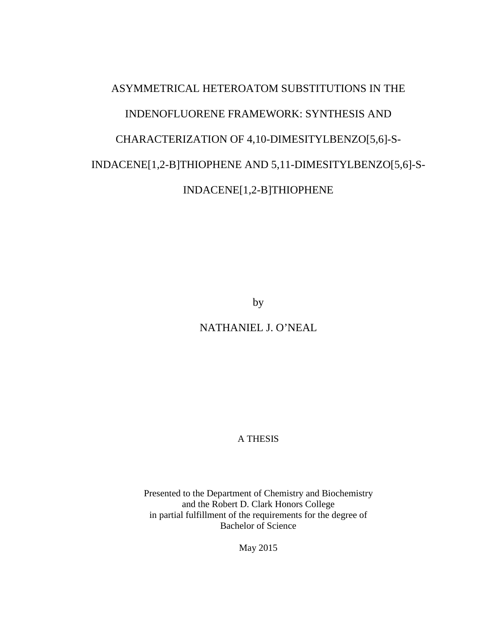# ASYMMETRICAL HETEROATOM SUBSTITUTIONS IN THE INDENOFLUORENE FRAMEWORK: SYNTHESIS AND CHARACTERIZATION OF 4,10-DIMESITYLBENZO[5,6]-S-INDACENE[1,2-B]THIOPHENE AND 5,11-DIMESITYLBENZO[5,6]-S-INDACENE[1,2-B]THIOPHENE

by

NATHANIEL J. O'NEAL

A THESIS

Presented to the Department of Chemistry and Biochemistry and the Robert D. Clark Honors College in partial fulfillment of the requirements for the degree of Bachelor of Science

May 2015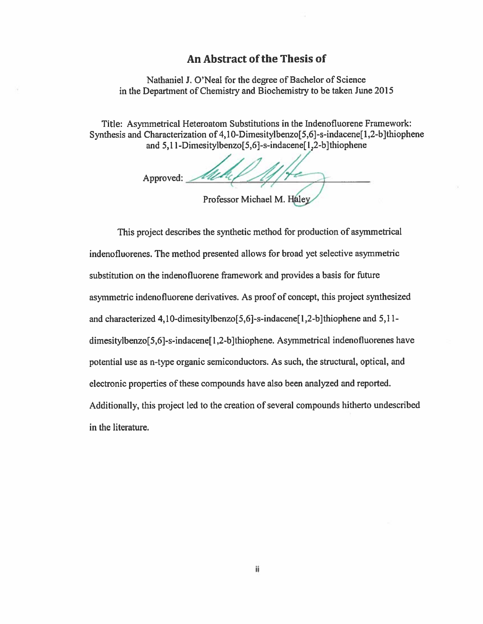#### An Abstract of the Thesis of

Nathaniel J. O'Neal for the degree of Bachelor of Science in the Department of Chemistry and Biochemistry to be taken June 2015

Title: Asymmetrical Heteroatom Substitutions in the Indenofluorene Framework: Synthesis and Characterization of 4,10-Dimesitylbenzo[5,6]-s-indacene[1,2-b]thiophene and 5,11-Dimesitylbenzo[5,6]-s-indacene[1,2-b]thiophene

Approved: Professor Michael M. Haley

This project describes the synthetic method for production of asymmetrical indenofluorenes. The method presented allows for broad yet selective asymmetric substitution on the indenofluorene framework and provides a basis for future asymmetric indenofluorene derivatives. As proof of concept, this project synthesized and characterized 4,10-dimesitylbenzo[5,6]-s-indacene[1,2-b]thiophene and 5,11dimesitylbenzo[5,6]-s-indacene[1,2-b]thiophene. Asymmetrical indenofluorenes have potential use as n-type organic semiconductors. As such, the structural, optical, and electronic properties of these compounds have also been analyzed and reported. Additionally, this project led to the creation of several compounds hitherto undescribed in the literature.

ij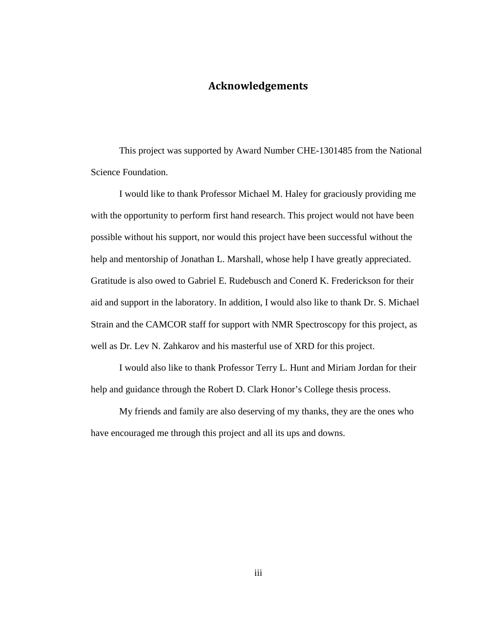#### **Acknowledgements**

This project was supported by Award Number CHE-1301485 from the National Science Foundation.

I would like to thank Professor Michael M. Haley for graciously providing me with the opportunity to perform first hand research. This project would not have been possible without his support, nor would this project have been successful without the help and mentorship of Jonathan L. Marshall, whose help I have greatly appreciated. Gratitude is also owed to Gabriel E. Rudebusch and Conerd K. Frederickson for their aid and support in the laboratory. In addition, I would also like to thank Dr. S. Michael Strain and the CAMCOR staff for support with NMR Spectroscopy for this project, as well as Dr. Lev N. Zahkarov and his masterful use of XRD for this project.

I would also like to thank Professor Terry L. Hunt and Miriam Jordan for their help and guidance through the Robert D. Clark Honor's College thesis process.

My friends and family are also deserving of my thanks, they are the ones who have encouraged me through this project and all its ups and downs.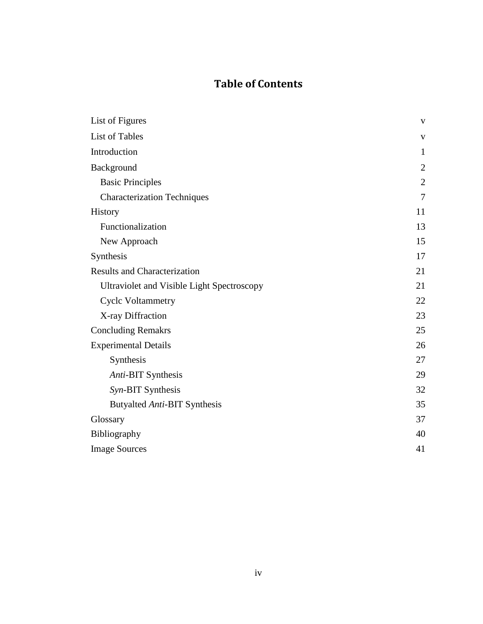### **Table of Contents**

| List of Figures                                   | $\mathbf{V}$   |
|---------------------------------------------------|----------------|
| <b>List of Tables</b>                             | $\mathbf{V}$   |
| Introduction                                      | $\mathbf{1}$   |
| Background                                        | $\overline{2}$ |
| <b>Basic Principles</b>                           | $\overline{2}$ |
| <b>Characterization Techniques</b>                | $\overline{7}$ |
| History                                           | 11             |
| Functionalization                                 | 13             |
| New Approach                                      | 15             |
| Synthesis                                         | 17             |
| <b>Results and Characterization</b>               | 21             |
| <b>Ultraviolet and Visible Light Spectroscopy</b> | 21             |
| <b>Cyclc Voltammetry</b>                          | 22             |
| X-ray Diffraction                                 | 23             |
| <b>Concluding Remakrs</b>                         | 25             |
| <b>Experimental Details</b>                       | 26             |
| Synthesis                                         | 27             |
| Anti-BIT Synthesis                                | 29             |
| Syn-BIT Synthesis                                 | 32             |
| Butyalted Anti-BIT Synthesis                      | 35             |
| Glossary                                          | 37             |
| Bibliography                                      | 40             |
| <b>Image Sources</b>                              | 41             |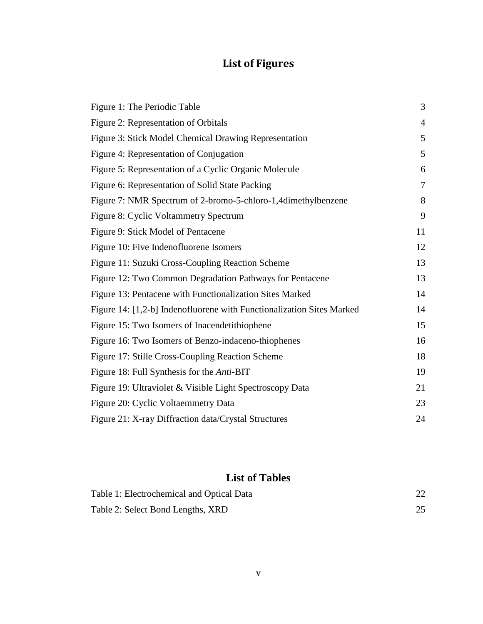# **List of Figures**

| Figure 1: The Periodic Table                                          | 3              |
|-----------------------------------------------------------------------|----------------|
| Figure 2: Representation of Orbitals                                  | $\overline{4}$ |
| Figure 3: Stick Model Chemical Drawing Representation                 | 5              |
| Figure 4: Representation of Conjugation                               | 5              |
| Figure 5: Representation of a Cyclic Organic Molecule                 | 6              |
| Figure 6: Representation of Solid State Packing                       | $\overline{7}$ |
| Figure 7: NMR Spectrum of 2-bromo-5-chloro-1,4dimethylbenzene         | 8              |
| Figure 8: Cyclic Voltammetry Spectrum                                 | 9              |
| Figure 9: Stick Model of Pentacene                                    | 11             |
| Figure 10: Five Indenofluorene Isomers                                | 12             |
| Figure 11: Suzuki Cross-Coupling Reaction Scheme                      | 13             |
| Figure 12: Two Common Degradation Pathways for Pentacene              | 13             |
| Figure 13: Pentacene with Functionalization Sites Marked              | 14             |
| Figure 14: [1,2-b] Indenofluorene with Functionalization Sites Marked | 14             |
| Figure 15: Two Isomers of Inacendetithiophene                         | 15             |
| Figure 16: Two Isomers of Benzo-indaceno-thiophenes                   | 16             |
| Figure 17: Stille Cross-Coupling Reaction Scheme                      | 18             |
| Figure 18: Full Synthesis for the <i>Anti</i> -BIT                    | 19             |
| Figure 19: Ultraviolet & Visible Light Spectroscopy Data              | 21             |
| Figure 20: Cyclic Voltaemmetry Data                                   | 23             |
| Figure 21: X-ray Diffraction data/Crystal Structures                  | 24             |

## **List of Tables**

| Table 1: Electrochemical and Optical Data |  |
|-------------------------------------------|--|
| Table 2: Select Bond Lengths, XRD         |  |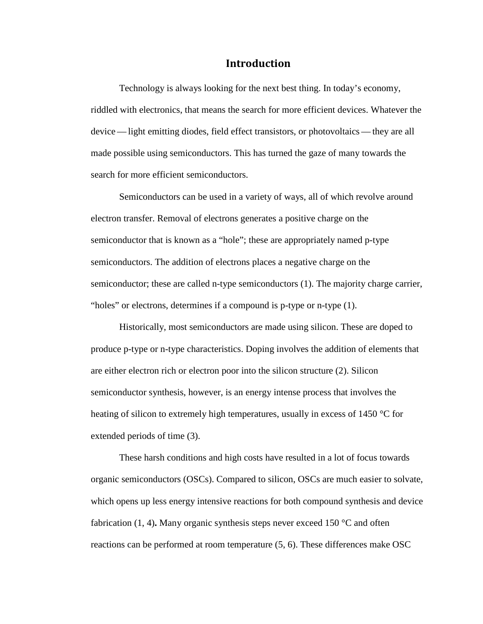#### **Introduction**

Technology is always looking for the next best thing. In today's economy, riddled with electronics, that means the search for more efficient devices. Whatever the device— light emitting diodes, field effect transistors, or photovoltaics — they are all made possible using semiconductors. This has turned the gaze of many towards the search for more efficient semiconductors.

Semiconductors can be used in a variety of ways, all of which revolve around electron transfer. Removal of electrons generates a positive charge on the semiconductor that is known as a "hole"; these are appropriately named p-type semiconductors. The addition of electrons places a negative charge on the semiconductor; these are called n-type semiconductors (1). The majority charge carrier, "holes" or electrons, determines if a compound is p-type or n-type (1).

Historically, most semiconductors are made using silicon. These are doped to produce p-type or n-type characteristics. Doping involves the addition of elements that are either electron rich or electron poor into the silicon structure (2). Silicon semiconductor synthesis, however, is an energy intense process that involves the heating of silicon to extremely high temperatures, usually in excess of 1450 °C for extended periods of time (3).

These harsh conditions and high costs have resulted in a lot of focus towards organic semiconductors (OSCs). Compared to silicon, OSCs are much easier to solvate, which opens up less energy intensive reactions for both compound synthesis and device fabrication (1, 4)**.** Many organic synthesis steps never exceed 150 °C and often reactions can be performed at room temperature (5, 6). These differences make OSC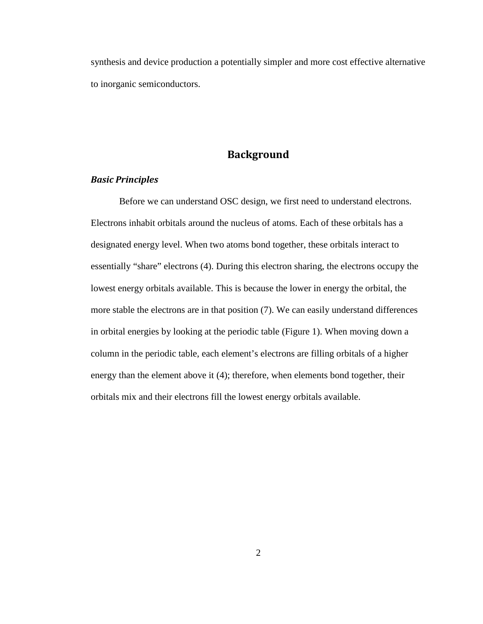synthesis and device production a potentially simpler and more cost effective alternative to inorganic semiconductors.

#### **Background**

#### *Basic Principles*

Before we can understand OSC design, we first need to understand electrons. Electrons inhabit orbitals around the nucleus of atoms. Each of these orbitals has a designated energy level. When two atoms bond together, these orbitals interact to essentially "share" electrons (4). During this electron sharing, the electrons occupy the lowest energy orbitals available. This is because the lower in energy the orbital, the more stable the electrons are in that position (7). We can easily understand differences in orbital energies by looking at the periodic table (Figure 1). When moving down a column in the periodic table, each element's electrons are filling orbitals of a higher energy than the element above it (4); therefore, when elements bond together, their orbitals mix and their electrons fill the lowest energy orbitals available.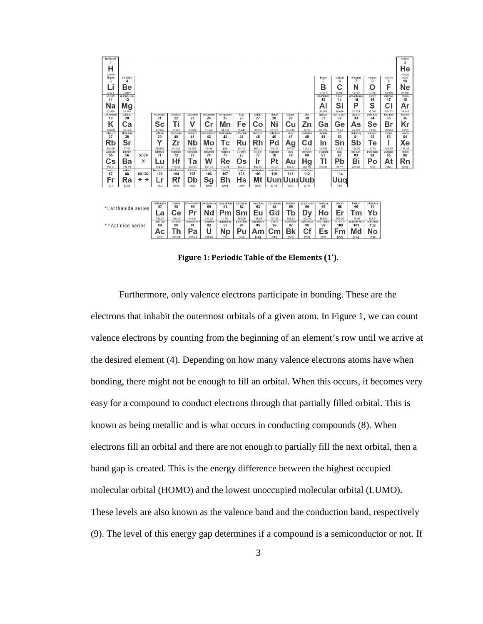| hydrogen<br>1                                                                           |                                                                                                             |                                                                             |                                                                                     | helium<br>$\overline{2}$ |
|-----------------------------------------------------------------------------------------|-------------------------------------------------------------------------------------------------------------|-----------------------------------------------------------------------------|-------------------------------------------------------------------------------------|--------------------------|
| н                                                                                       |                                                                                                             |                                                                             |                                                                                     | He                       |
|                                                                                         |                                                                                                             |                                                                             |                                                                                     |                          |
| 1.0079<br>Ethium<br>beryllium                                                           |                                                                                                             | boron                                                                       | carbon<br>nitrogen<br>oxygen<br>fluorine                                            | 4.0026<br>neon           |
| 4<br>3                                                                                  |                                                                                                             | 5                                                                           | 6<br>$\overline{7}$<br>8<br>9                                                       | 10                       |
| Be<br>Li                                                                                |                                                                                                             | В                                                                           | F<br>N<br>O                                                                         | Ne                       |
| 9.0122<br>6.941                                                                         |                                                                                                             | 10.811                                                                      | 12.011<br>14.007<br>15,999<br>18.998                                                | 20.180                   |
| sodium<br>magnesium<br>12<br>11                                                         |                                                                                                             | aluminium<br>13                                                             | silicon<br>phosphorus<br>suitur<br>chlorine<br>14<br>15<br>16<br>17                 | argon<br>18              |
| Na                                                                                      |                                                                                                             |                                                                             | Si<br>S<br>c<br>P                                                                   |                          |
| Mg                                                                                      |                                                                                                             | Al                                                                          |                                                                                     | Αr                       |
| 22,990<br>24.305<br>calcium<br>potassium<br>scandium<br>titanium                        | vanadium<br>chromium<br>manganese<br>cobalt<br>iron                                                         | 26.982<br>gallium<br>nickel<br>copper<br>zinc                               | 28.096<br>30.974<br>32.065<br>35.453<br>selenium<br>bromine<br>germanium<br>arsenic | 39,948<br>krypton        |
| 20<br>21<br>22<br>19                                                                    | 26<br>27<br>23<br>24<br>25                                                                                  | 29<br>28<br>30<br>31                                                        | 32<br>33<br>34<br>35                                                                | 36                       |
| Τi<br>Κ<br>Sc<br>Cа                                                                     | v<br>Fe<br>Cr<br>Mn<br>Co                                                                                   | Ni<br>Zn<br>Ga<br>Cu                                                        | Br<br>Se<br>Ge<br>As                                                                | Κr                       |
| 44.956<br>39.098<br>40.078<br>47.867                                                    | 50.942<br>51,996<br>54.938<br>55.845<br>58.933                                                              | 69.723<br>58,693<br>63.546<br>65.39                                         | 72.61<br>74.922<br>78.96<br>79.904                                                  | 83.80                    |
| rubidium<br>strontium<br>vttrium<br>zirconium<br>37<br>38<br>39<br>40                   | molybdenur<br>technetium<br>nicbium<br>ruthenium<br>rhodium<br>42<br>43<br>45<br>41<br>44                   | palladium<br>cadmium<br>silver<br>indium<br>47<br>48<br>46<br>49            | antimony<br>tellurium<br>iodine<br>tin<br>50<br>51<br>52<br>53                      | nonex<br>54              |
| Υ<br><b>Rb</b><br>Sr<br>Ζr                                                              | Nb<br>Mo<br>Rh<br>Ru<br>Tс                                                                                  | Pd<br>Cd<br>In                                                              | Sb<br>Sn<br>Tе                                                                      | Хe                       |
| 87.62<br>88,906<br>85.468<br>91.224                                                     | 92.906<br>95.94<br>[98]<br>101.07<br>102.91                                                                 | Ag<br>106.42<br>107.87<br>112.41<br>114.82                                  | 118.71<br>121.76<br>127.60<br>126.90                                                | 131.29                   |
| hafnium<br>caesium<br>barium<br>lutetium                                                | tantalum<br>tungsten<br>rhenium<br>osmium<br>iridium                                                        | gold<br>platinum<br>mercury<br>thallium                                     | lead<br>bismuth<br>polonium<br>astatine                                             | mdon                     |
| 55<br>57-70<br>56<br>71<br>72                                                           | 76<br>73<br>74<br>75<br>77                                                                                  | 79<br>78<br>80<br>81                                                        | 82<br>83<br>84<br>85                                                                | 86                       |
| Hf<br>$\ast$<br>Ba<br>Cs<br>Lu                                                          | w<br>Re<br>Тa<br>Os<br>Ir                                                                                   | Τl<br>Hg<br>Pt<br>Au                                                        | Bi<br>Pb<br>Po<br>At                                                                | Rn                       |
| 132.91<br>137.33<br>174.97<br>178.49<br>francium<br>radium<br>lawrencium<br>utherfordiu | 190.23<br>180.95<br>186.21<br>192.22<br>183.84<br>hassium<br>dubnium<br>seaborgium<br>bohrium<br>meitnerium | 195.08<br>200.59<br>196.97<br>204.38<br>ununnillum<br>unununlum<br>ununbium | 208.98<br>207.2<br>12098<br>1210<br>ununquadium                                     | [222]                    |
| 89-102<br>87<br>88<br>103<br>104                                                        | 109<br>105<br>106<br>107<br>108                                                                             | 110<br>111<br>112                                                           | 114                                                                                 |                          |
| Rf<br>Fr<br>Ra<br>$* *$<br>Lr                                                           | Hs<br>Mt<br>Db<br>Bh<br>Sg                                                                                  | Uuu<br>Uub<br>Uuni                                                          | Uuq                                                                                 |                          |
| [223]<br>226<br>12621<br>[261]                                                          | [269]<br>[268]<br>[262]<br>[266]<br>[264]                                                                   | [271]<br>[272]<br>12771                                                     | [289]                                                                               |                          |
|                                                                                         |                                                                                                             |                                                                             |                                                                                     |                          |
|                                                                                         |                                                                                                             |                                                                             |                                                                                     |                          |
|                                                                                         |                                                                                                             |                                                                             |                                                                                     |                          |
| lanthanum<br>cerium<br>57<br>58                                                         | praseodymium<br>neodymium<br>promethium<br>samarium<br>europium<br>63<br>60<br>62<br>59<br>61               | gadolinium<br>terbium<br>dysprosium<br>holmium<br>64<br>65<br>66<br>67      | erbium<br>thulium<br>ytterbium<br>68<br>69<br>70                                    |                          |
| *Lanthanide series<br>Сe<br>La                                                          | Nd<br>Eu<br>Pr<br>Pm<br>Sm                                                                                  | Ho<br>Gd<br>Tb<br>Dy                                                        | Yb<br>Er<br>Τm                                                                      |                          |
| 138.91<br>140.12                                                                        | 144.24<br>150.36<br>140.91<br>[145]<br>151.96                                                               | 157.25<br>158.93<br>162.50<br>164.93                                        | 173.04<br>167.26<br>168.93                                                          |                          |
| actinium<br>thorium                                                                     | plutonium<br>americium<br>protactiniun<br>uranium<br>neptunium                                              | berkelium<br>californium<br>einsteinium<br>curium                           | nobelium<br>mendelevium<br>fermium                                                  |                          |
| ** Actinide series<br>89<br>90                                                          | 91<br>92<br>93<br>94<br>95                                                                                  | 96<br>97<br>98<br>99                                                        | 100<br>101<br>102                                                                   |                          |
| Th<br>Ac                                                                                | U<br>Pa<br><b>Np</b><br>Pu<br>Am                                                                            | Bk<br>Сf<br>Es<br>Cm                                                        | No<br>Fm<br>Md                                                                      |                          |
| 12271<br>232.04                                                                         | 231.04<br>238.03<br>[244]<br>[243]<br>12371                                                                 | 12511<br>[252]<br>12471<br>12471                                            | 12571<br>[258]<br>12598                                                             |                          |

**Figure 1: Periodic Table of the Elements (1').**

Furthermore, only valence electrons participate in bonding. These are the electrons that inhabit the outermost orbitals of a given atom. In Figure 1, we can count valence electrons by counting from the beginning of an element's row until we arrive at the desired element (4). Depending on how many valence electrons atoms have when bonding, there might not be enough to fill an orbital. When this occurs, it becomes very easy for a compound to conduct electrons through that partially filled orbital. This is known as being metallic and is what occurs in conducting compounds (8). When electrons fill an orbital and there are not enough to partially fill the next orbital, then a band gap is created. This is the energy difference between the highest occupied molecular orbital (HOMO) and the lowest unoccupied molecular orbital (LUMO). These levels are also known as the valence band and the conduction band, respectively (9). The level of this energy gap determines if a compound is a semiconductor or not. If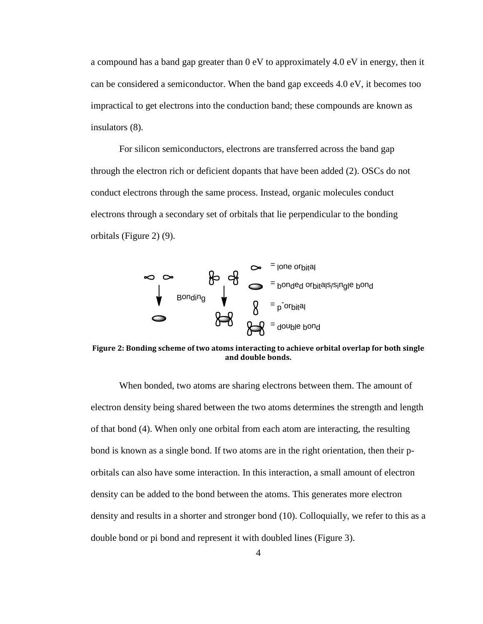a compound has a band gap greater than  $0 \text{ eV}$  to approximately 4.0 eV in energy, then it can be considered a semiconductor. When the band gap exceeds 4.0 eV, it becomes too impractical to get electrons into the conduction band; these compounds are known as insulators (8).

For silicon semiconductors, electrons are transferred across the band gap through the electron rich or deficient dopants that have been added (2). OSCs do not conduct electrons through the same process. Instead, organic molecules conduct electrons through a secondary set of orbitals that lie perpendicular to the bonding orbitals (Figure 2) (9).



**Figure 2: Bonding scheme of two atoms interacting to achieve orbital overlap for both single and double bonds.**

When bonded, two atoms are sharing electrons between them. The amount of electron density being shared between the two atoms determines the strength and length of that bond (4). When only one orbital from each atom are interacting, the resulting bond is known as a single bond. If two atoms are in the right orientation, then their porbitals can also have some interaction. In this interaction, a small amount of electron density can be added to the bond between the atoms. This generates more electron density and results in a shorter and stronger bond (10). Colloquially, we refer to this as a double bond or pi bond and represent it with doubled lines (Figure 3).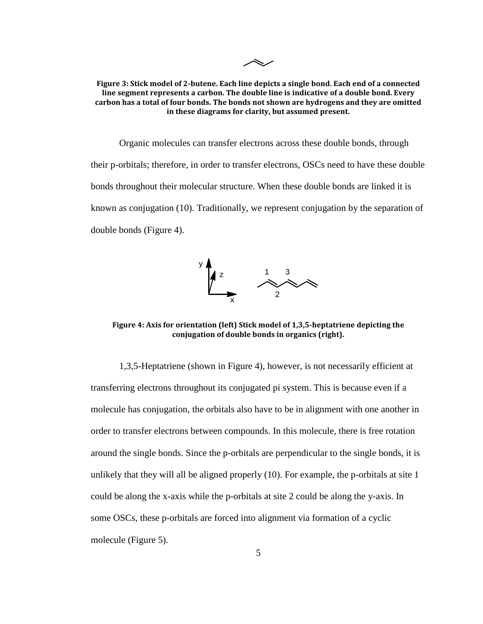$\overline{\mathcal{N}}$ 

#### **Figure 3: Stick model of 2-butene. Each line depicts a single bond. Each end of a connected line segment represents a carbon. The double line is indicative of a double bond. Every carbon has a total of four bonds. The bonds not shown are hydrogens and they are omitted in these diagrams for clarity, but assumed present.**

Organic molecules can transfer electrons across these double bonds, through their p-orbitals; therefore, in order to transfer electrons, OSCs need to have these double bonds throughout their molecular structure. When these double bonds are linked it is known as conjugation (10). Traditionally, we represent conjugation by the separation of double bonds (Figure 4).



**Figure 4: Axis for orientation (left) Stick model of 1,3,5-heptatriene depicting the conjugation of double bonds in organics (right).**

1,3,5-Heptatriene (shown in Figure 4), however, is not necessarily efficient at transferring electrons throughout its conjugated pi system. This is because even if a molecule has conjugation, the orbitals also have to be in alignment with one another in order to transfer electrons between compounds. In this molecule, there is free rotation around the single bonds. Since the p-orbitals are perpendicular to the single bonds, it is unlikely that they will all be aligned properly (10). For example, the p-orbitals at site 1 could be along the x-axis while the p-orbitals at site 2 could be along the y-axis. In some OSCs, these p-orbitals are forced into alignment via formation of a cyclic molecule (Figure 5).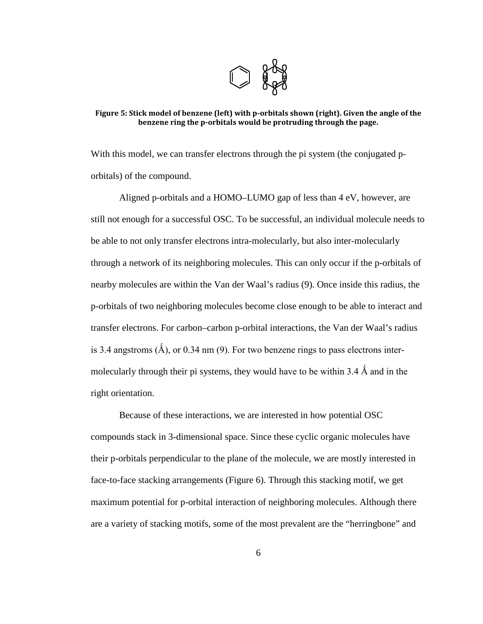

#### **Figure 5: Stick model of benzene (left) with p-orbitals shown (right). Given the angle of the benzene ring the p-orbitals would be protruding through the page.**

With this model, we can transfer electrons through the pi system (the conjugated porbitals) of the compound.

Aligned p-orbitals and a HOMO–LUMO gap of less than 4 eV, however, are still not enough for a successful OSC. To be successful, an individual molecule needs to be able to not only transfer electrons intra-molecularly, but also inter-molecularly through a network of its neighboring molecules. This can only occur if the p-orbitals of nearby molecules are within the Van der Waal's radius (9). Once inside this radius, the p-orbitals of two neighboring molecules become close enough to be able to interact and transfer electrons. For carbon–carbon p-orbital interactions, the Van der Waal's radius is 3.4 angstroms  $(\hat{A})$ , or 0.34 nm (9). For two benzene rings to pass electrons intermolecularly through their pi systems, they would have to be within 3.4  $\AA$  and in the right orientation.

Because of these interactions, we are interested in how potential OSC compounds stack in 3-dimensional space. Since these cyclic organic molecules have their p-orbitals perpendicular to the plane of the molecule, we are mostly interested in face-to-face stacking arrangements (Figure 6). Through this stacking motif, we get maximum potential for p-orbital interaction of neighboring molecules. Although there are a variety of stacking motifs, some of the most prevalent are the "herringbone" and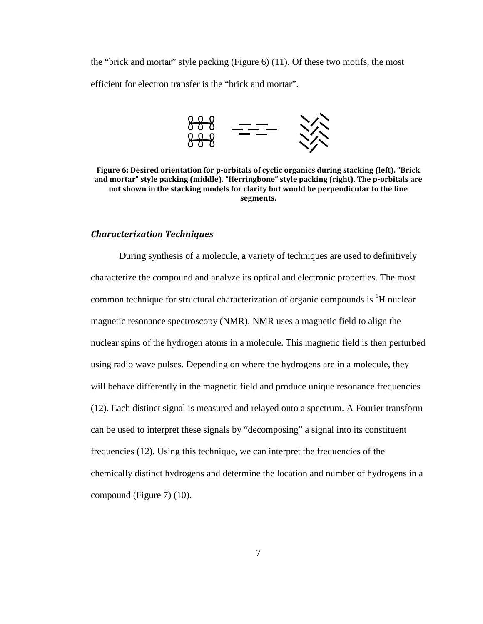the "brick and mortar" style packing (Figure 6) (11). Of these two motifs, the most efficient for electron transfer is the "brick and mortar".



**Figure 6: Desired orientation for p-orbitals of cyclic organics during stacking (left). "Brick and mortar" style packing (middle). "Herringbone" style packing (right). The p-orbitals are not shown in the stacking models for clarity but would be perpendicular to the line segments.** 

#### *Characterization Techniques*

During synthesis of a molecule, a variety of techniques are used to definitively characterize the compound and analyze its optical and electronic properties. The most common technique for structural characterization of organic compounds is  ${}^{1}H$  nuclear magnetic resonance spectroscopy (NMR). NMR uses a magnetic field to align the nuclear spins of the hydrogen atoms in a molecule. This magnetic field is then perturbed using radio wave pulses. Depending on where the hydrogens are in a molecule, they will behave differently in the magnetic field and produce unique resonance frequencies (12). Each distinct signal is measured and relayed onto a spectrum. A Fourier transform can be used to interpret these signals by "decomposing" a signal into its constituent frequencies (12). Using this technique, we can interpret the frequencies of the chemically distinct hydrogens and determine the location and number of hydrogens in a compound (Figure 7) (10).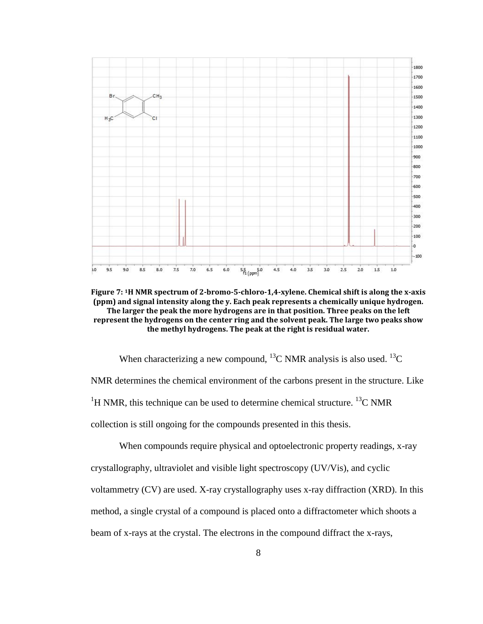

**Figure 7: 1H NMR spectrum of 2-bromo-5-chloro-1,4-xylene. Chemical shift is along the x-axis (ppm) and signal intensity along the y. Each peak represents a chemically unique hydrogen. The larger the peak the more hydrogens are in that position. Three peaks on the left represent the hydrogens on the center ring and the solvent peak. The large two peaks show the methyl hydrogens. The peak at the right is residual water.** 

When characterizing a new compound, <sup>13</sup>C NMR analysis is also used. <sup>13</sup>C NMR determines the chemical environment of the carbons present in the structure. Like <sup>1</sup>H NMR, this technique can be used to determine chemical structure. <sup>13</sup>C NMR collection is still ongoing for the compounds presented in this thesis.

When compounds require physical and optoelectronic property readings, x-ray crystallography, ultraviolet and visible light spectroscopy (UV/Vis), and cyclic voltammetry (CV) are used. X-ray crystallography uses x-ray diffraction (XRD). In this method, a single crystal of a compound is placed onto a diffractometer which shoots a beam of x-rays at the crystal. The electrons in the compound diffract the x-rays,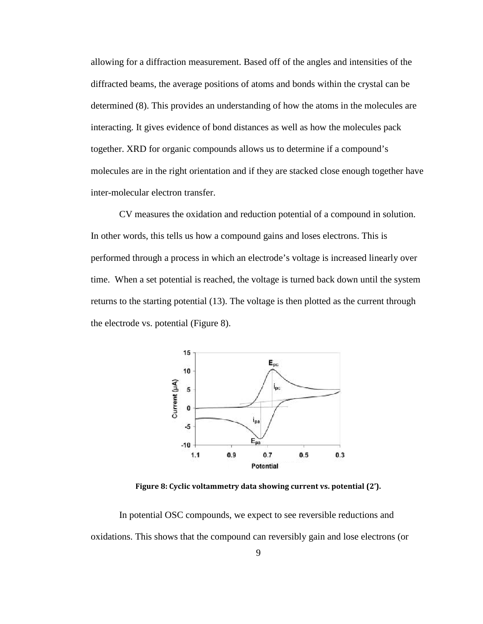allowing for a diffraction measurement. Based off of the angles and intensities of the diffracted beams, the average positions of atoms and bonds within the crystal can be determined (8). This provides an understanding of how the atoms in the molecules are interacting. It gives evidence of bond distances as well as how the molecules pack together. XRD for organic compounds allows us to determine if a compound's molecules are in the right orientation and if they are stacked close enough together have inter-molecular electron transfer.

CV measures the oxidation and reduction potential of a compound in solution. In other words, this tells us how a compound gains and loses electrons. This is performed through a process in which an electrode's voltage is increased linearly over time. When a set potential is reached, the voltage is turned back down until the system returns to the starting potential (13). The voltage is then plotted as the current through the electrode vs. potential (Figure 8).



**Figure 8: Cyclic voltammetry data showing current vs. potential (2').**

In potential OSC compounds, we expect to see reversible reductions and oxidations. This shows that the compound can reversibly gain and lose electrons (or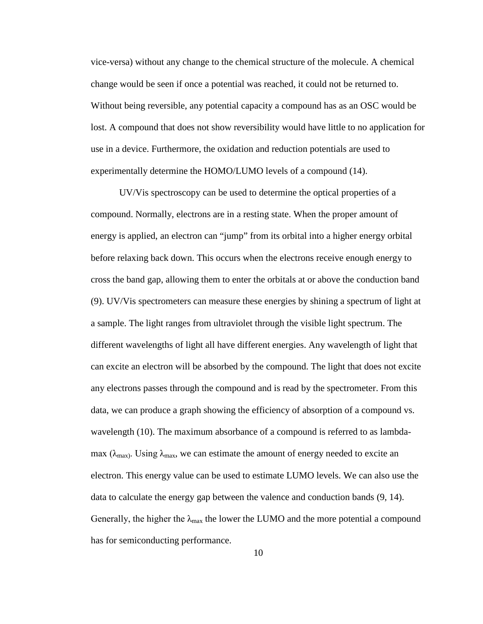vice-versa) without any change to the chemical structure of the molecule. A chemical change would be seen if once a potential was reached, it could not be returned to. Without being reversible, any potential capacity a compound has as an OSC would be lost. A compound that does not show reversibility would have little to no application for use in a device. Furthermore, the oxidation and reduction potentials are used to experimentally determine the HOMO/LUMO levels of a compound (14).

UV/Vis spectroscopy can be used to determine the optical properties of a compound. Normally, electrons are in a resting state. When the proper amount of energy is applied, an electron can "jump" from its orbital into a higher energy orbital before relaxing back down. This occurs when the electrons receive enough energy to cross the band gap, allowing them to enter the orbitals at or above the conduction band (9). UV/Vis spectrometers can measure these energies by shining a spectrum of light at a sample. The light ranges from ultraviolet through the visible light spectrum. The different wavelengths of light all have different energies. Any wavelength of light that can excite an electron will be absorbed by the compound. The light that does not excite any electrons passes through the compound and is read by the spectrometer. From this data, we can produce a graph showing the efficiency of absorption of a compound vs. wavelength (10). The maximum absorbance of a compound is referred to as lambdamax ( $\lambda_{\text{max}}$ ). Using  $\lambda_{\text{max}}$ , we can estimate the amount of energy needed to excite an electron. This energy value can be used to estimate LUMO levels. We can also use the data to calculate the energy gap between the valence and conduction bands (9, 14). Generally, the higher the  $\lambda_{\text{max}}$  the lower the LUMO and the more potential a compound has for semiconducting performance.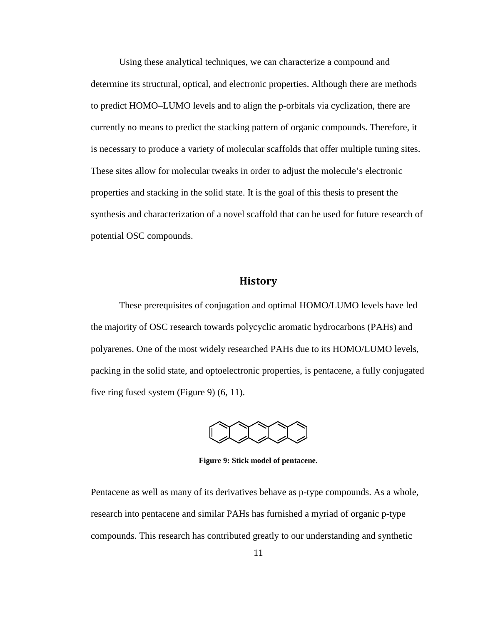Using these analytical techniques, we can characterize a compound and determine its structural, optical, and electronic properties. Although there are methods to predict HOMO–LUMO levels and to align the p-orbitals via cyclization, there are currently no means to predict the stacking pattern of organic compounds. Therefore, it is necessary to produce a variety of molecular scaffolds that offer multiple tuning sites. These sites allow for molecular tweaks in order to adjust the molecule's electronic properties and stacking in the solid state. It is the goal of this thesis to present the synthesis and characterization of a novel scaffold that can be used for future research of potential OSC compounds.

#### **History**

These prerequisites of conjugation and optimal HOMO/LUMO levels have led the majority of OSC research towards polycyclic aromatic hydrocarbons (PAHs) and polyarenes. One of the most widely researched PAHs due to its HOMO/LUMO levels, packing in the solid state, and optoelectronic properties, is pentacene, a fully conjugated five ring fused system (Figure 9) (6, 11).



**Figure 9: Stick model of pentacene.** 

Pentacene as well as many of its derivatives behave as p-type compounds. As a whole, research into pentacene and similar PAHs has furnished a myriad of organic p-type compounds. This research has contributed greatly to our understanding and synthetic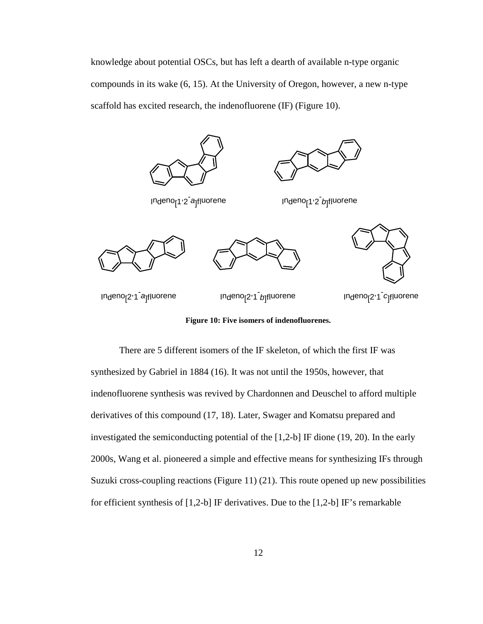knowledge about potential OSCs, but has left a dearth of available n-type organic compounds in its wake (6, 15). At the University of Oregon, however, a new n-type scaffold has excited research, the indenofluorene (IF) (Figure 10).



**Figure 10: Five isomers of indenofluorenes.**

There are 5 different isomers of the IF skeleton, of which the first IF was synthesized by Gabriel in 1884 (16). It was not until the 1950s, however, that indenofluorene synthesis was revived by Chardonnen and Deuschel to afford multiple derivatives of this compound (17, 18). Later, Swager and Komatsu prepared and investigated the semiconducting potential of the [1,2-b] IF dione (19, 20). In the early 2000s, Wang et al. pioneered a simple and effective means for synthesizing IFs through Suzuki cross-coupling reactions (Figure 11) (21). This route opened up new possibilities for efficient synthesis of [1,2-b] IF derivatives. Due to the [1,2-b] IF's remarkable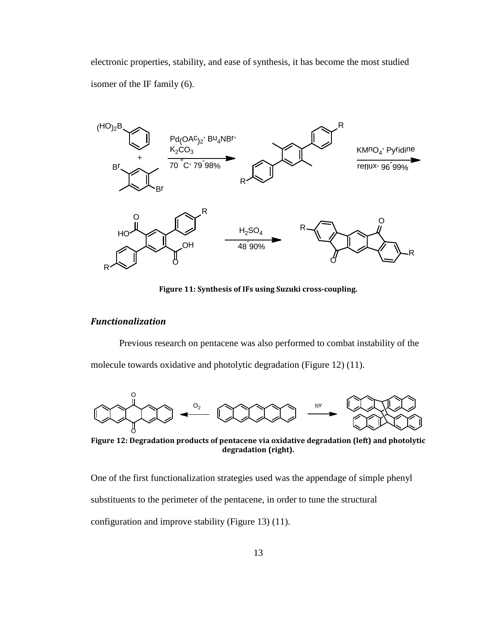electronic properties, stability, and ease of synthesis, it has become the most studied isomer of the IF family (6).



**Figure 11: Synthesis of IFs using Suzuki cross-coupling.**

#### *Functionalization*

Previous research on pentacene was also performed to combat instability of the molecule towards oxidative and photolytic degradation (Figure 12) (11).



**Figure 12: Degradation products of pentacene via oxidative degradation (left) and photolytic degradation (right).**

One of the first functionalization strategies used was the appendage of simple phenyl

substituents to the perimeter of the pentacene, in order to tune the structural

configuration and improve stability (Figure 13) (11).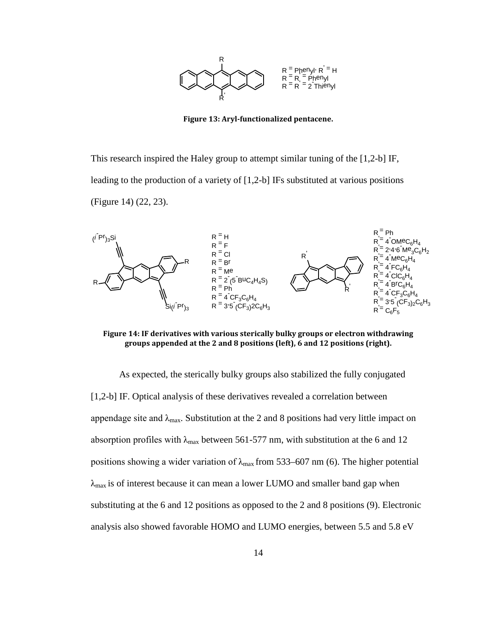

**Figure 13: Aryl-functionalized pentacene.**

This research inspired the Haley group to attempt similar tuning of the [1,2-b] IF, leading to the production of a variety of [1,2-b] IFs substituted at various positions (Figure 14) (22, 23).



**Figure 14: IF derivatives with various sterically bulky groups or electron withdrawing groups appended at the 2 and 8 positions (left), 6 and 12 positions (right).**

As expected, the sterically bulky groups also stabilized the fully conjugated [1,2-b] IF. Optical analysis of these derivatives revealed a correlation between appendage site and  $\lambda_{\text{max}}$ . Substitution at the 2 and 8 positions had very little impact on absorption profiles with  $\lambda_{\text{max}}$  between 561-577 nm, with substitution at the 6 and 12 positions showing a wider variation of  $\lambda_{\text{max}}$  from 533–607 nm (6). The higher potential  $\lambda_{\text{max}}$  is of interest because it can mean a lower LUMO and smaller band gap when substituting at the 6 and 12 positions as opposed to the 2 and 8 positions (9). Electronic analysis also showed favorable HOMO and LUMO energies, between 5.5 and 5.8 eV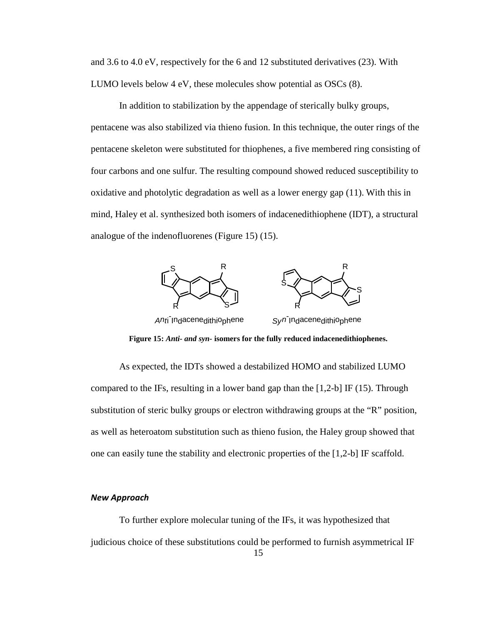and 3.6 to 4.0 eV, respectively for the 6 and 12 substituted derivatives (23). With LUMO levels below 4 eV, these molecules show potential as OSCs (8).

In addition to stabilization by the appendage of sterically bulky groups, pentacene was also stabilized via thieno fusion. In this technique, the outer rings of the pentacene skeleton were substituted for thiophenes, a five membered ring consisting of four carbons and one sulfur. The resulting compound showed reduced susceptibility to oxidative and photolytic degradation as well as a lower energy gap (11). With this in mind, Haley et al. synthesized both isomers of indacenedithiophene (IDT), a structural analogue of the indenofluorenes (Figure 15) (15).



**Figure 15:** *Anti- and syn-* **isomers for the fully reduced indacenedithiophenes.**

As expected, the IDTs showed a destabilized HOMO and stabilized LUMO compared to the IFs, resulting in a lower band gap than the  $[1,2-b]$  IF (15). Through substitution of steric bulky groups or electron withdrawing groups at the "R" position, as well as heteroatom substitution such as thieno fusion, the Haley group showed that one can easily tune the stability and electronic properties of the [1,2-b] IF scaffold.

#### *New Approach*

To further explore molecular tuning of the IFs, it was hypothesized that judicious choice of these substitutions could be performed to furnish asymmetrical IF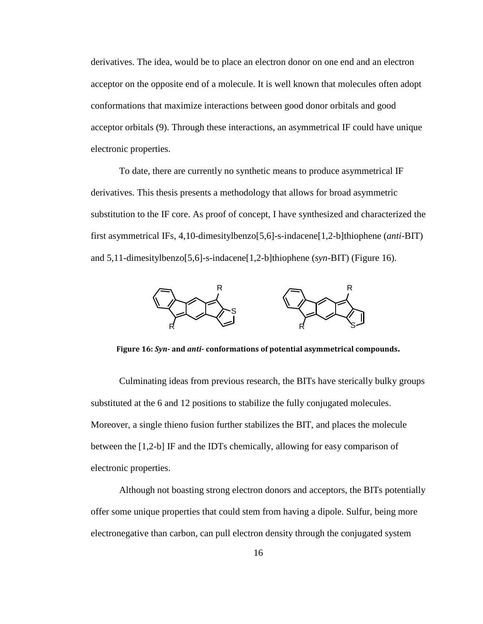derivatives. The idea, would be to place an electron donor on one end and an electron acceptor on the opposite end of a molecule. It is well known that molecules often adopt conformations that maximize interactions between good donor orbitals and good acceptor orbitals (9). Through these interactions, an asymmetrical IF could have unique electronic properties.

To date, there are currently no synthetic means to produce asymmetrical IF derivatives. This thesis presents a methodology that allows for broad asymmetric substitution to the IF core. As proof of concept, I have synthesized and characterized the first asymmetrical IFs, 4,10-dimesitylbenzo[5,6]-s-indacene[1,2-b]thiophene (*anti*-BIT) and 5,11-dimesitylbenzo[5,6]-s-indacene[1,2-b]thiophene (*syn*-BIT) (Figure 16).



**Figure 16:** *Syn***- and** *anti-* **conformations of potential asymmetrical compounds.**

Culminating ideas from previous research, the BITs have sterically bulky groups substituted at the 6 and 12 positions to stabilize the fully conjugated molecules. Moreover, a single thieno fusion further stabilizes the BIT, and places the molecule between the [1,2-b] IF and the IDTs chemically, allowing for easy comparison of electronic properties.

Although not boasting strong electron donors and acceptors, the BITs potentially offer some unique properties that could stem from having a dipole. Sulfur, being more electronegative than carbon, can pull electron density through the conjugated system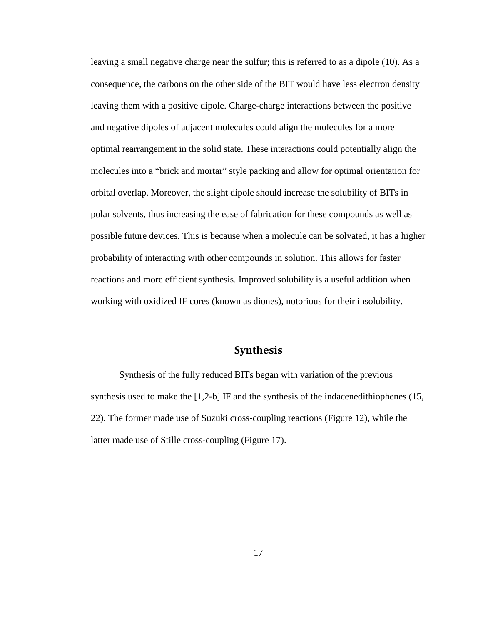leaving a small negative charge near the sulfur; this is referred to as a dipole (10). As a consequence, the carbons on the other side of the BIT would have less electron density leaving them with a positive dipole. Charge-charge interactions between the positive and negative dipoles of adjacent molecules could align the molecules for a more optimal rearrangement in the solid state. These interactions could potentially align the molecules into a "brick and mortar" style packing and allow for optimal orientation for orbital overlap. Moreover, the slight dipole should increase the solubility of BITs in polar solvents, thus increasing the ease of fabrication for these compounds as well as possible future devices. This is because when a molecule can be solvated, it has a higher probability of interacting with other compounds in solution. This allows for faster reactions and more efficient synthesis. Improved solubility is a useful addition when working with oxidized IF cores (known as diones), notorious for their insolubility.

#### **Synthesis**

Synthesis of the fully reduced BITs began with variation of the previous synthesis used to make the [1,2-b] IF and the synthesis of the indacenedithiophenes (15, 22). The former made use of Suzuki cross-coupling reactions (Figure 12), while the latter made use of Stille cross**-**coupling (Figure 17).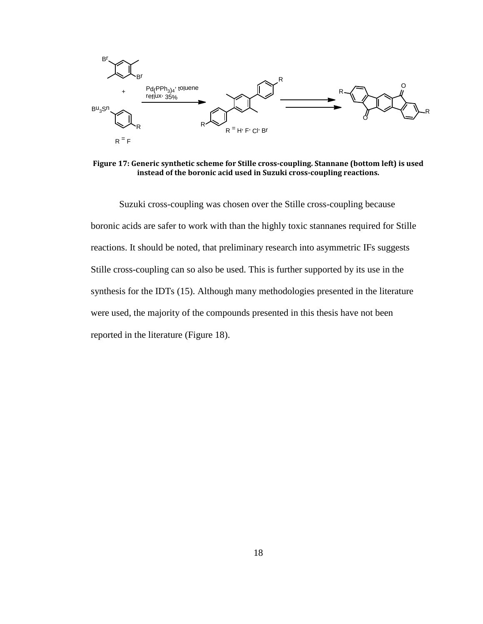

**Figure 17: Generic synthetic scheme for Stille cross-coupling. Stannane (bottom left) is used instead of the boronic acid used in Suzuki cross-coupling reactions.**

Suzuki cross-coupling was chosen over the Stille cross-coupling because boronic acids are safer to work with than the highly toxic stannanes required for Stille reactions. It should be noted, that preliminary research into asymmetric IFs suggests Stille cross-coupling can so also be used. This is further supported by its use in the synthesis for the IDTs (15). Although many methodologies presented in the literature were used, the majority of the compounds presented in this thesis have not been reported in the literature (Figure 18).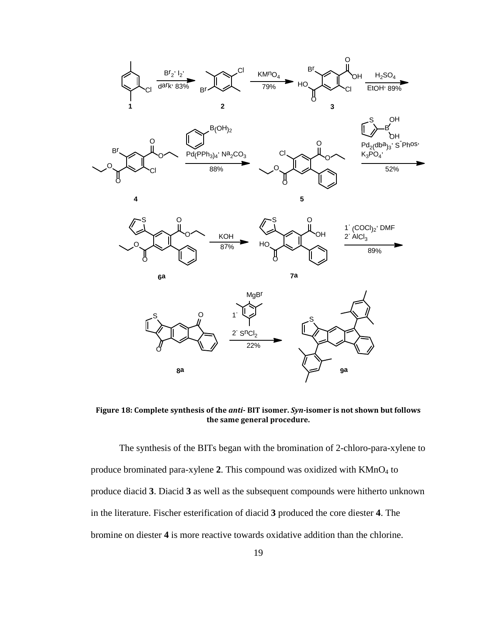



**4 5**





**Figure 18: Complete synthesis of the** *anti-* **BIT isomer.** *Syn-***isomer is not shown but follows the same general procedure.**

The synthesis of the BITs began with the bromination of 2-chloro-para-xylene to produce brominated para-xylene 2. This compound was oxidized with KMnO<sub>4</sub> to produce diacid **3**. Diacid **3** as well as the subsequent compounds were hitherto unknown in the literature. Fischer esterification of diacid **3** produced the core diester **4**. The bromine on diester **4** is more reactive towards oxidative addition than the chlorine.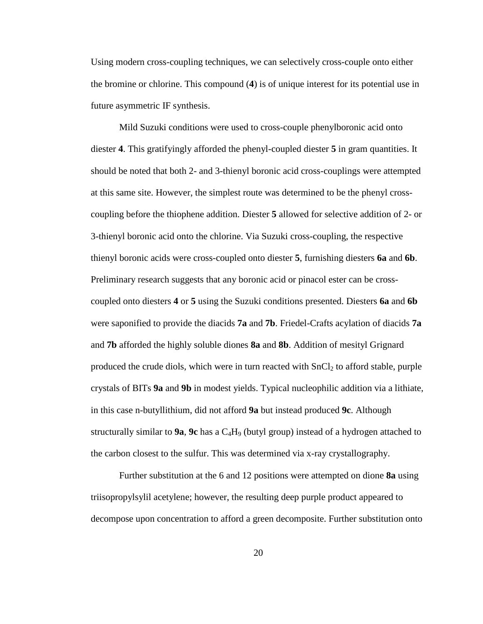Using modern cross-coupling techniques, we can selectively cross-couple onto either the bromine or chlorine. This compound (**4**) is of unique interest for its potential use in future asymmetric IF synthesis.

Mild Suzuki conditions were used to cross-couple phenylboronic acid onto diester **4**. This gratifyingly afforded the phenyl-coupled diester **5** in gram quantities. It should be noted that both 2- and 3-thienyl boronic acid cross-couplings were attempted at this same site. However, the simplest route was determined to be the phenyl crosscoupling before the thiophene addition. Diester **5** allowed for selective addition of 2- or 3-thienyl boronic acid onto the chlorine. Via Suzuki cross-coupling, the respective thienyl boronic acids were cross-coupled onto diester **5**, furnishing diesters **6a** and **6b**. Preliminary research suggests that any boronic acid or pinacol ester can be crosscoupled onto diesters **4** or **5** using the Suzuki conditions presented. Diesters **6a** and **6b**  were saponified to provide the diacids **7a** and **7b**. Friedel-Crafts acylation of diacids **7a**  and **7b** afforded the highly soluble diones **8a** and **8b**. Addition of mesityl Grignard produced the crude diols, which were in turn reacted with  $SnCl<sub>2</sub>$  to afford stable, purple crystals of BITs **9a** and **9b** in modest yields. Typical nucleophilic addition via a lithiate, in this case n-butyllithium, did not afford **9a** but instead produced **9c**. Although structurally similar to **9a**, **9c** has a C4H9 (butyl group) instead of a hydrogen attached to the carbon closest to the sulfur. This was determined via x-ray crystallography.

Further substitution at the 6 and 12 positions were attempted on dione **8a** using triisopropylsylil acetylene; however, the resulting deep purple product appeared to decompose upon concentration to afford a green decomposite. Further substitution onto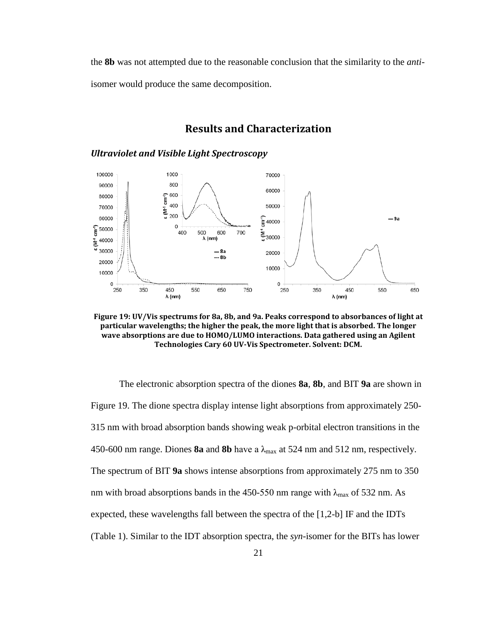the **8b** was not attempted due to the reasonable conclusion that the similarity to the *anti*isomer would produce the same decomposition.

#### **Results and Characterization**

*Ultraviolet and Visible Light Spectroscopy*



**Figure 19: UV/Vis spectrums for 8a, 8b, and 9a. Peaks correspond to absorbances of light at particular wavelengths; the higher the peak, the more light that is absorbed. The longer wave absorptions are due to HOMO/LUMO interactions. Data gathered using an Agilent Technologies Cary 60 UV-Vis Spectrometer. Solvent: DCM.**

The electronic absorption spectra of the diones **8a**, **8b**, and BIT **9a** are shown in Figure 19. The dione spectra display intense light absorptions from approximately 250- 315 nm with broad absorption bands showing weak p-orbital electron transitions in the 450-600 nm range. Diones **8a** and **8b** have a  $\lambda_{\text{max}}$  at 524 nm and 512 nm, respectively. The spectrum of BIT **9a** shows intense absorptions from approximately 275 nm to 350 nm with broad absorptions bands in the 450-550 nm range with  $\lambda_{\text{max}}$  of 532 nm. As expected, these wavelengths fall between the spectra of the [1,2-b] IF and the IDTs (Table 1). Similar to the IDT absorption spectra, the *syn*-isomer for the BITs has lower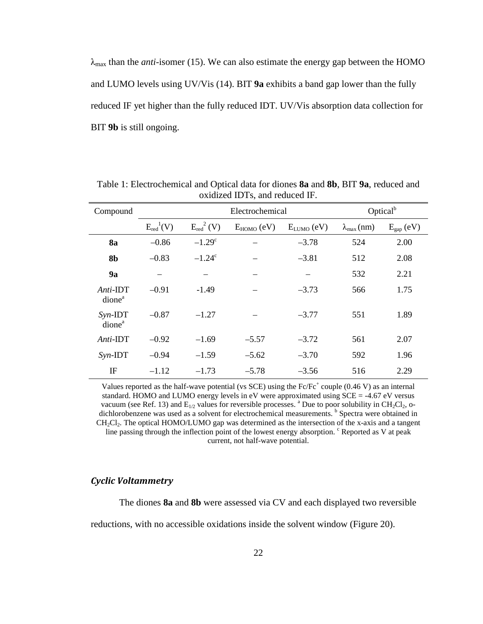$\lambda_{\text{max}}$  than the *anti*-isomer (15). We can also estimate the energy gap between the HOMO and LUMO levels using UV/Vis (14). BIT **9a** exhibits a band gap lower than the fully reduced IF yet higher than the fully reduced IDT. UV/Vis absorption data collection for BIT **9b** is still ongoing.

| Compound                          | Electrochemical  |                 |                 | Optical $b$     |                       |                       |
|-----------------------------------|------------------|-----------------|-----------------|-----------------|-----------------------|-----------------------|
|                                   | $E_{red}^{1}(V)$ | $E_{red}^2(V)$  | $E_{HOMO}$ (eV) | $E_{LUMO}$ (eV) | $\lambda_{\max}$ (nm) | $E_{\text{gap}}$ (eV) |
| <b>8a</b>                         | $-0.86$          | $-1.29^{\circ}$ |                 | $-3.78$         | 524                   | 2.00                  |
| 8b                                | $-0.83$          | $-1.24^c$       |                 | $-3.81$         | 512                   | 2.08                  |
| 9a                                |                  |                 |                 |                 | 532                   | 2.21                  |
| $Anti$ -IDT<br>dione <sup>a</sup> | $-0.91$          | $-1.49$         |                 | $-3.73$         | 566                   | 1.75                  |
| $Syn$ -IDT<br>dione <sup>a</sup>  | $-0.87$          | $-1.27$         |                 | $-3.77$         | 551                   | 1.89                  |
| Anti-IDT                          | $-0.92$          | $-1.69$         | $-5.57$         | $-3.72$         | 561                   | 2.07                  |
| $Syn$ -IDT                        | $-0.94$          | $-1.59$         | $-5.62$         | $-3.70$         | 592                   | 1.96                  |
| IF                                | $-1.12$          | $-1.73$         | $-5.78$         | $-3.56$         | 516                   | 2.29                  |

Table 1: Electrochemical and Optical data for diones **8a** and **8b**, BIT **9a**, reduced and oxidized IDTs, and reduced IF.

Values reported as the half-wave potential (vs SCE) using the  $Fc/Fc^+$  couple (0.46 V) as an internal standard. HOMO and LUMO energy levels in eV were approximated using SCE = -4.67 eV versus vacuum (see Ref. 13) and  $E_{1/2}$  values for reversible processes. <sup>a</sup> Due to poor solubility in CH<sub>2</sub>Cl<sub>2</sub>, odichlorobenzene was used as a solvent for electrochemical measurements. <sup>b</sup> Spectra were obtained in  $CH<sub>2</sub>Cl<sub>2</sub>$ . The optical HOMO/LUMO gap was determined as the intersection of the x-axis and a tangent line passing through the inflection point of the lowest energy absorption. <sup>c</sup> Reported as V at peak current, not half-wave potential.

#### *Cyclic Voltammetry*

The diones **8a** and **8b** were assessed via CV and each displayed two reversible reductions, with no accessible oxidations inside the solvent window (Figure 20).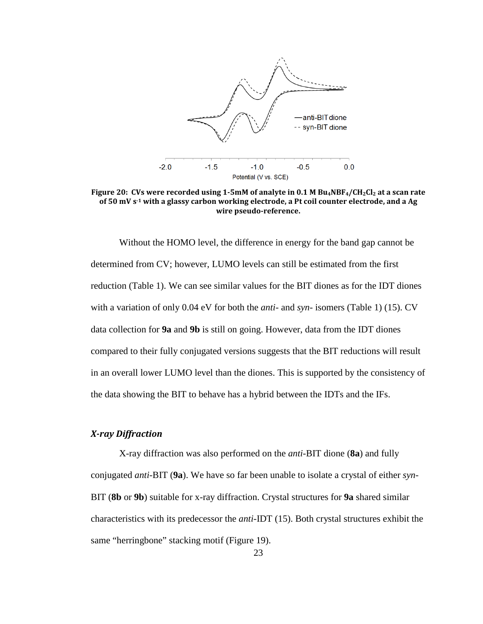

Figure 20: CVs were recorded using 1-5mM of analyte in 0.1 M Bu<sub>4</sub>NBF<sub>4</sub>/CH<sub>2</sub>Cl<sub>2</sub> at a scan rate **of 50 mV s-1 with a glassy carbon working electrode, a Pt coil counter electrode, and a Ag wire pseudo-reference.**

Without the HOMO level, the difference in energy for the band gap cannot be determined from CV; however, LUMO levels can still be estimated from the first reduction (Table 1). We can see similar values for the BIT diones as for the IDT diones with a variation of only 0.04 eV for both the *anti*- and *syn*- isomers (Table 1) (15). CV data collection for **9a** and **9b** is still on going. However, data from the IDT diones compared to their fully conjugated versions suggests that the BIT reductions will result in an overall lower LUMO level than the diones. This is supported by the consistency of the data showing the BIT to behave has a hybrid between the IDTs and the IFs.

#### *X-ray Diffraction*

X-ray diffraction was also performed on the *anti*-BIT dione (**8a**) and fully conjugated *anti*-BIT (**9a**). We have so far been unable to isolate a crystal of either *syn-*BIT (**8b** or **9b**) suitable for x-ray diffraction. Crystal structures for **9a** shared similar characteristics with its predecessor the *anti*-IDT (15). Both crystal structures exhibit the same "herringbone" stacking motif (Figure 19).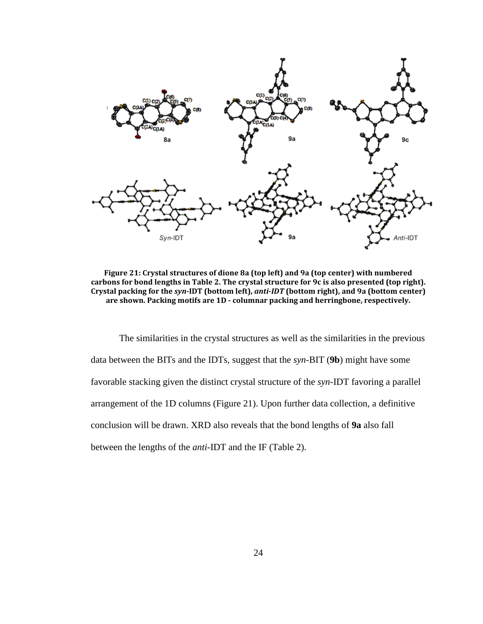

**Figure 21: Crystal structures of dione 8a (top left) and 9a (top center) with numbered carbons for bond lengths in Table 2. The crystal structure for 9c is also presented (top right). Crystal packing for the** *syn-***IDT (bottom left),** *anti-IDT* **(bottom right), and 9a (bottom center) are shown. Packing motifs are 1D - columnar packing and herringbone, respectively.**

The similarities in the crystal structures as well as the similarities in the previous data between the BITs and the IDTs, suggest that the *syn*-BIT (**9b**) might have some favorable stacking given the distinct crystal structure of the *syn*-IDT favoring a parallel arrangement of the 1D columns (Figure 21). Upon further data collection, a definitive conclusion will be drawn. XRD also reveals that the bond lengths of **9a** also fall between the lengths of the *anti-*IDT and the IF (Table 2).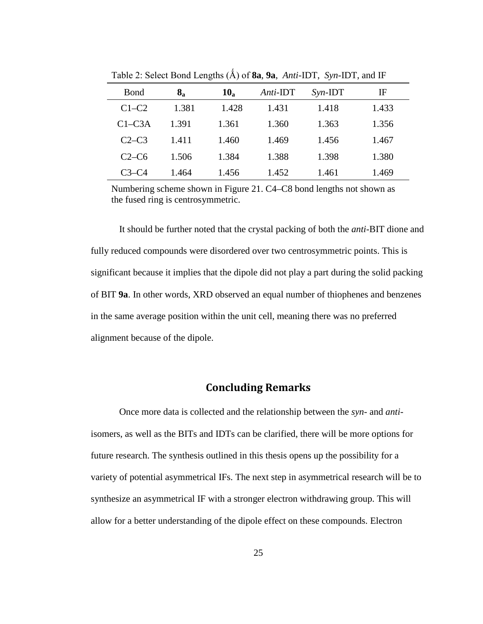| Bond       | $\bf{8}_a$ | $10_a$ | Anti-IDT | $Syn$ -IDT | IF    |
|------------|------------|--------|----------|------------|-------|
| $C1-C2$    | 1.381      | 1.428  | 1.431    | 1.418      | 1.433 |
| $C1 - C3A$ | 1.391      | 1.361  | 1.360    | 1.363      | 1.356 |
| $C2-C3$    | 1.411      | 1.460  | 1.469    | 1.456      | 1.467 |
| $C2-C6$    | 1.506      | 1.384  | 1.388    | 1.398      | 1.380 |
| $C3 - C4$  | 1.464      | 1.456  | 1.452    | 1.461      | 1.469 |

Table 2: Select Bond Lengths (Ǻ) of **8a**, **9a**, *Anti-*IDT, *Syn-*IDT, and IF

Numbering scheme shown in Figure 21. C4–C8 bond lengths not shown as the fused ring is centrosymmetric.

It should be further noted that the crystal packing of both the *anti*-BIT dione and fully reduced compounds were disordered over two centrosymmetric points. This is significant because it implies that the dipole did not play a part during the solid packing of BIT **9a**. In other words, XRD observed an equal number of thiophenes and benzenes in the same average position within the unit cell, meaning there was no preferred alignment because of the dipole.

#### **Concluding Remarks**

Once more data is collected and the relationship between the *syn-* and *anti*isomers, as well as the BITs and IDTs can be clarified, there will be more options for future research. The synthesis outlined in this thesis opens up the possibility for a variety of potential asymmetrical IFs. The next step in asymmetrical research will be to synthesize an asymmetrical IF with a stronger electron withdrawing group. This will allow for a better understanding of the dipole effect on these compounds. Electron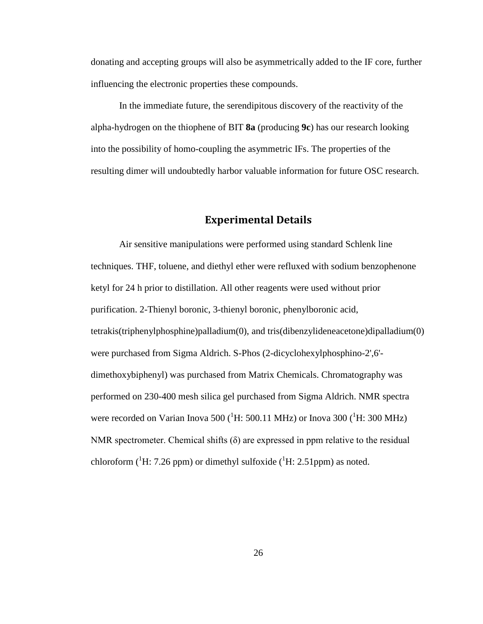donating and accepting groups will also be asymmetrically added to the IF core, further influencing the electronic properties these compounds.

In the immediate future, the serendipitous discovery of the reactivity of the alpha-hydrogen on the thiophene of BIT **8a** (producing **9c**) has our research looking into the possibility of homo-coupling the asymmetric IFs. The properties of the resulting dimer will undoubtedly harbor valuable information for future OSC research.

#### **Experimental Details**

Air sensitive manipulations were performed using standard Schlenk line techniques. THF, toluene, and diethyl ether were refluxed with sodium benzophenone ketyl for 24 h prior to distillation. All other reagents were used without prior purification. 2-Thienyl boronic, 3-thienyl boronic, phenylboronic acid, tetrakis(triphenylphosphine)palladium(0), and tris(dibenzylideneacetone)dipalladium(0) were purchased from Sigma Aldrich. S-Phos (2-dicyclohexylphosphino-2',6' dimethoxybiphenyl) was purchased from Matrix Chemicals. Chromatography was performed on 230-400 mesh silica gel purchased from Sigma Aldrich. NMR spectra were recorded on Varian Inova 500 ( ${}^{1}$ H: 500.11 MHz) or Inova 300 ( ${}^{1}$ H: 300 MHz) NMR spectrometer. Chemical shifts  $(\delta)$  are expressed in ppm relative to the residual chloroform ( ${}^{1}$ H: 7.26 ppm) or dimethyl sulfoxide ( ${}^{1}$ H: 2.51ppm) as noted.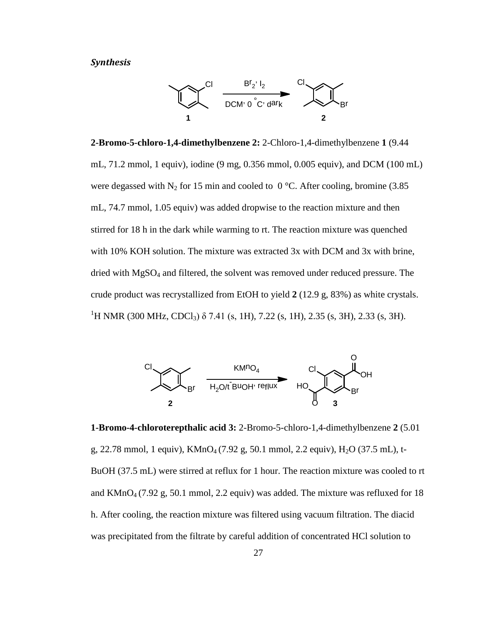#### *Synthesis*



**2-Bromo-5-chloro-1,4-dimethylbenzene 2:** 2-Chloro-1,4-dimethylbenzene **1** (9.44 mL, 71.2 mmol, 1 equiv), iodine (9 mg, 0.356 mmol, 0.005 equiv), and DCM (100 mL) were degassed with N<sub>2</sub> for 15 min and cooled to  $0^{\circ}$ C. After cooling, bromine (3.85) mL, 74.7 mmol, 1.05 equiv) was added dropwise to the reaction mixture and then stirred for 18 h in the dark while warming to rt. The reaction mixture was quenched with 10% KOH solution. The mixture was extracted 3x with DCM and 3x with brine, dried with MgSO<sub>4</sub> and filtered, the solvent was removed under reduced pressure. The crude product was recrystallized from EtOH to yield **2** (12.9 g, 83%) as white crystals. <sup>1</sup>H NMR (300 MHz, CDCl<sub>3</sub>) δ 7.41 (s, 1H), 7.22 (s, 1H), 2.35 (s, 3H), 2.33 (s, 3H).



**1-Bromo-4-chloroterepthalic acid 3:** 2-Bromo-5-chloro-1,4-dimethylbenzene **2** (5.01 g, 22.78 mmol, 1 equiv),  $KMnO_4$  (7.92 g, 50.1 mmol, 2.2 equiv), H<sub>2</sub>O (37.5 mL), t-BuOH (37.5 mL) were stirred at reflux for 1 hour. The reaction mixture was cooled to rt and  $KMnO<sub>4</sub>$  (7.92 g, 50.1 mmol, 2.2 equiv) was added. The mixture was refluxed for 18 h. After cooling, the reaction mixture was filtered using vacuum filtration. The diacid was precipitated from the filtrate by careful addition of concentrated HCl solution to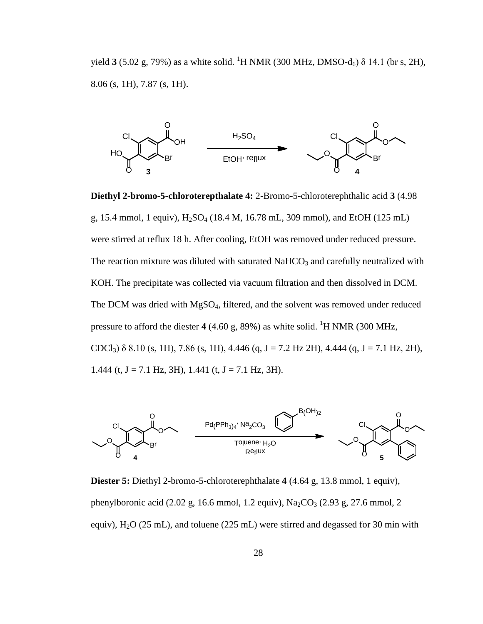yield **3** (5.02 g, 79%) as a white solid. <sup>1</sup>H NMR (300 MHz, DMSO-d<sub>6</sub>) δ 14.1 (br s, 2H), 8.06 (s, 1H), 7.87 (s, 1H).



**Diethyl 2-bromo-5-chloroterepthalate 4:** 2-Bromo-5-chloroterephthalic acid **3** (4.98 g, 15.4 mmol, 1 equiv),  $H_2SO_4$  (18.4 M, 16.78 mL, 309 mmol), and EtOH (125 mL) were stirred at reflux 18 h. After cooling, EtOH was removed under reduced pressure. The reaction mixture was diluted with saturated  $NaHCO<sub>3</sub>$  and carefully neutralized with KOH. The precipitate was collected via vacuum filtration and then dissolved in DCM. The DCM was dried with MgSO4, filtered, and the solvent was removed under reduced pressure to afford the diester  $4(4.60 \text{ g}, 89\%)$  as white solid. <sup>1</sup>H NMR (300 MHz, CDCl<sub>3</sub>)  $\delta$  8.10 (s, 1H), 7.86 (s, 1H), 4.446 (q, J = 7.2 Hz 2H), 4.444 (q, J = 7.1 Hz, 2H), 1.444 (t,  $J = 7.1$  Hz, 3H), 1.441 (t,  $J = 7.1$  Hz, 3H).



**Diester 5:** Diethyl 2-bromo-5-chloroterephthalate **4** (4.64 g, 13.8 mmol, 1 equiv), phenylboronic acid (2.02 g, 16.6 mmol, 1.2 equiv),  $Na_2CO_3$  (2.93 g, 27.6 mmol, 2 equiv),  $H_2O$  (25 mL), and toluene (225 mL) were stirred and degassed for 30 min with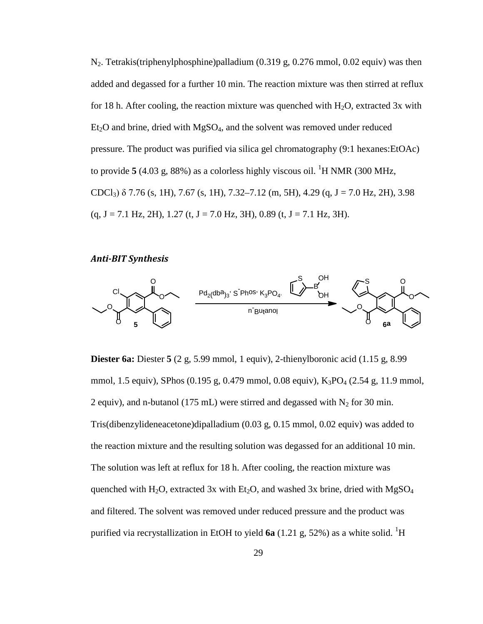$N_2$ . Tetrakis(triphenylphosphine)palladium (0.319 g, 0.276 mmol, 0.02 equiv) was then added and degassed for a further 10 min. The reaction mixture was then stirred at reflux for 18 h. After cooling, the reaction mixture was quenched with  $H_2O$ , extracted 3x with  $Et<sub>2</sub>O$  and brine, dried with  $MgSO<sub>4</sub>$ , and the solvent was removed under reduced pressure. The product was purified via silica gel chromatography (9:1 hexanes:EtOAc) to provide  $5$  (4.03 g, 88%) as a colorless highly viscous oil. <sup>1</sup>H NMR (300 MHz, CDCl<sub>3</sub>)  $\delta$  7.76 (s, 1H), 7.67 (s, 1H), 7.32–7.12 (m, 5H), 4.29 (q, J = 7.0 Hz, 2H), 3.98  $(q, J = 7.1 \text{ Hz}, 2H), 1.27 \text{ (t, } J = 7.0 \text{ Hz}, 3H), 0.89 \text{ (t, } J = 7.1 \text{ Hz}, 3H).$ 

#### *Anti-BIT Synthesis*



**Diester 6a:** Diester **5** (2 g, 5.99 mmol, 1 equiv), 2-thienylboronic acid (1.15 g, 8.99 mmol, 1.5 equiv), SPhos (0.195 g, 0.479 mmol, 0.08 equiv), K<sub>3</sub>PO<sub>4</sub> (2.54 g, 11.9 mmol, 2 equiv), and n-butanol (175 mL) were stirred and degassed with  $N_2$  for 30 min. Tris(dibenzylideneacetone)dipalladium (0.03 g, 0.15 mmol, 0.02 equiv) was added to the reaction mixture and the resulting solution was degassed for an additional 10 min. The solution was left at reflux for 18 h. After cooling, the reaction mixture was quenched with H<sub>2</sub>O, extracted 3x with Et<sub>2</sub>O, and washed 3x brine, dried with MgSO<sub>4</sub> and filtered. The solvent was removed under reduced pressure and the product was purified via recrystallization in EtOH to yield  $6a$  (1.21 g, 52%) as a white solid. <sup>1</sup>H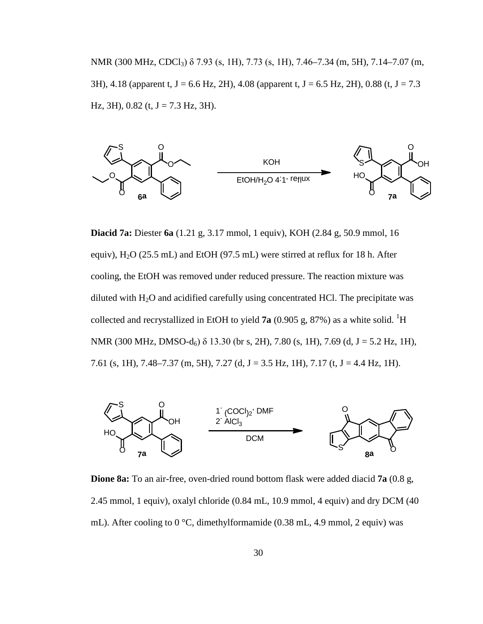NMR (300 MHz, CDCl<sub>3</sub>) δ 7.93 (s, 1H), 7.73 (s, 1H), 7.46–7.34 (m, 5H), 7.14–7.07 (m, 3H), 4.18 (apparent t, J = 6.6 Hz, 2H), 4.08 (apparent t, J = 6.5 Hz, 2H), 0.88 (t, J = 7.3 Hz, 3H),  $0.82$  (t, J = 7.3 Hz, 3H).



**Diacid 7a:** Diester **6a** (1.21 g, 3.17 mmol, 1 equiv), KOH (2.84 g, 50.9 mmol, 16 equiv),  $H_2O$  (25.5 mL) and EtOH (97.5 mL) were stirred at reflux for 18 h. After cooling, the EtOH was removed under reduced pressure. The reaction mixture was diluted with  $H_2O$  and acidified carefully using concentrated HCl. The precipitate was collected and recrystallized in EtOH to yield  $7a$  (0.905 g, 87%) as a white solid. <sup>1</sup>H NMR (300 MHz, DMSO-d<sub>6</sub>)  $\delta$  13.30 (br s, 2H), 7.80 (s, 1H), 7.69 (d, J = 5.2 Hz, 1H), 7.61 (s, 1H), 7.48–7.37 (m, 5H), 7.27 (d, J = 3.5 Hz, 1H), 7.17 (t, J = 4.4 Hz, 1H).



**Dione 8a:** To an air-free, oven-dried round bottom flask were added diacid **7a** (0.8 g, 2.45 mmol, 1 equiv), oxalyl chloride (0.84 mL, 10.9 mmol, 4 equiv) and dry DCM (40 mL). After cooling to 0 °C, dimethylformamide (0.38 mL, 4.9 mmol, 2 equiv) was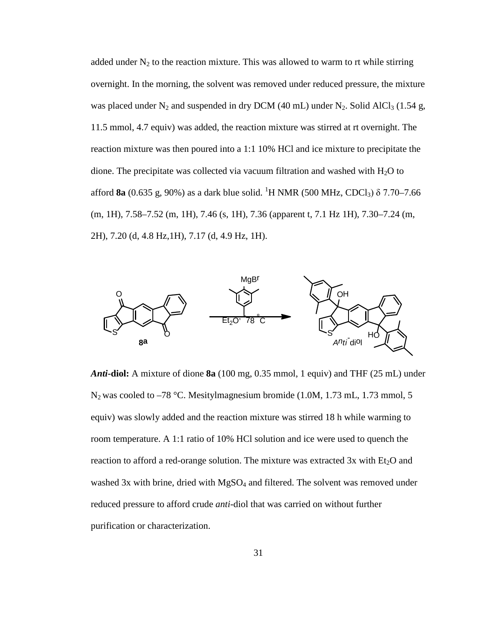added under  $N_2$  to the reaction mixture. This was allowed to warm to rt while stirring overnight. In the morning, the solvent was removed under reduced pressure, the mixture was placed under  $N_2$  and suspended in dry DCM (40 mL) under  $N_2$ . Solid AlCl<sub>3</sub> (1.54 g, 11.5 mmol, 4.7 equiv) was added, the reaction mixture was stirred at rt overnight. The reaction mixture was then poured into a 1:1 10% HCl and ice mixture to precipitate the dione. The precipitate was collected via vacuum filtration and washed with  $H_2O$  to afford **8a** (0.635 g, 90%) as a dark blue solid. <sup>1</sup>H NMR (500 MHz, CDCl<sub>3</sub>) δ 7.70–7.66 (m, 1H), 7.58–7.52 (m, 1H), 7.46 (s, 1H), 7.36 (apparent t, 7.1 Hz 1H), 7.30–7.24 (m, 2H), 7.20 (d, 4.8 Hz,1H), 7.17 (d, 4.9 Hz, 1H).



*Anti***-diol:** A mixture of dione **8a** (100 mg, 0.35 mmol, 1 equiv) and THF (25 mL) under N<sub>2</sub> was cooled to –78 °C. Mesitylmagnesium bromide (1.0M, 1.73 mL, 1.73 mmol, 5 equiv) was slowly added and the reaction mixture was stirred 18 h while warming to room temperature. A 1:1 ratio of 10% HCl solution and ice were used to quench the reaction to afford a red-orange solution. The mixture was extracted  $3x$  with  $Et<sub>2</sub>O$  and washed 3x with brine, dried with MgSO<sub>4</sub> and filtered. The solvent was removed under reduced pressure to afford crude *anti*-diol that was carried on without further purification or characterization.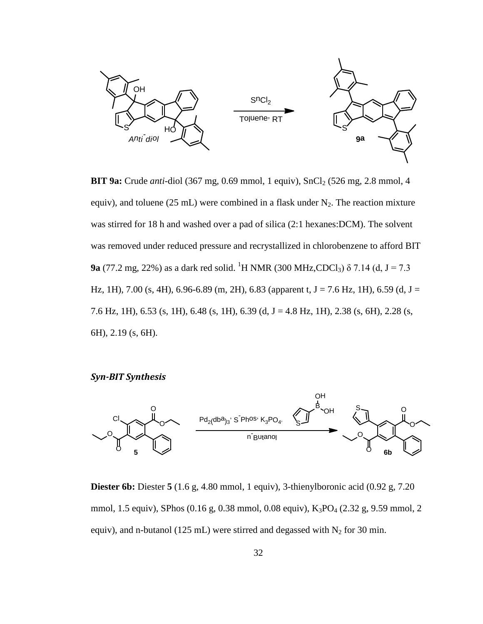

**BIT 9a:** Crude *anti*-diol (367 mg, 0.69 mmol, 1 equiv), SnCl<sub>2</sub> (526 mg, 2.8 mmol, 4 equiv), and toluene (25 mL) were combined in a flask under  $N_2$ . The reaction mixture was stirred for 18 h and washed over a pad of silica (2:1 hexanes:DCM). The solvent was removed under reduced pressure and recrystallized in chlorobenzene to afford BIT **9a** (77.2 mg, 22%) as a dark red solid. <sup>1</sup>H NMR (300 MHz,CDCl<sub>3</sub>)  $\delta$  7.14 (d, J = 7.3 Hz, 1H), 7.00 (s, 4H), 6.96-6.89 (m, 2H), 6.83 (apparent t, J = 7.6 Hz, 1H), 6.59 (d, J = 7.6 Hz, 1H), 6.53 (s, 1H), 6.48 (s, 1H), 6.39 (d, J = 4.8 Hz, 1H), 2.38 (s, 6H), 2.28 (s, 6H), 2.19 (s, 6H).

*Syn-BIT Synthesis*



**Diester 6b:** Diester **5** (1.6 g, 4.80 mmol, 1 equiv), 3-thienylboronic acid (0.92 g, 7.20 mmol, 1.5 equiv), SPhos (0.16 g, 0.38 mmol, 0.08 equiv), K<sub>3</sub>PO<sub>4</sub> (2.32 g, 9.59 mmol, 2 equiv), and n-butanol (125 mL) were stirred and degassed with  $N_2$  for 30 min.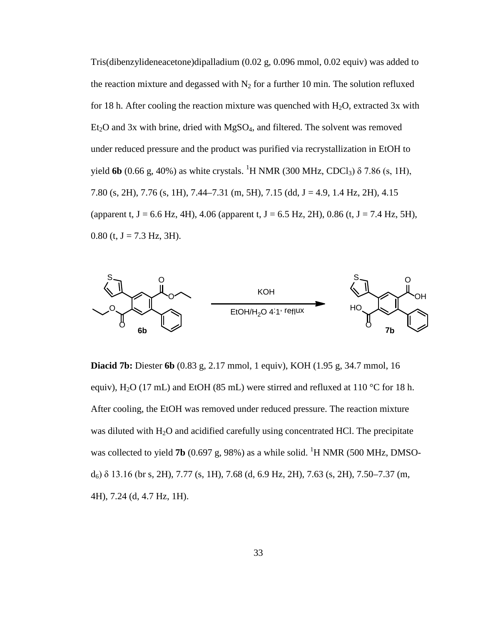Tris(dibenzylideneacetone)dipalladium (0.02 g, 0.096 mmol, 0.02 equiv) was added to the reaction mixture and degassed with  $N_2$  for a further 10 min. The solution refluxed for 18 h. After cooling the reaction mixture was quenched with  $H_2O$ , extracted 3x with  $Et<sub>2</sub>O$  and 3x with brine, dried with MgSO<sub>4</sub>, and filtered. The solvent was removed under reduced pressure and the product was purified via recrystallization in EtOH to yield **6b** (0.66 g, 40%) as white crystals. <sup>1</sup>H NMR (300 MHz, CDCl<sub>3</sub>)  $\delta$  7.86 (s, 1H), 7.80 (s, 2H), 7.76 (s, 1H), 7.44–7.31 (m, 5H), 7.15 (dd, J = 4.9, 1.4 Hz, 2H), 4.15 (apparent t,  $J = 6.6$  Hz, 4H), 4.06 (apparent t,  $J = 6.5$  Hz, 2H), 0.86 (t,  $J = 7.4$  Hz, 5H),  $0.80$  (t, J = 7.3 Hz, 3H).



**Diacid 7b:** Diester **6b** (0.83 g, 2.17 mmol, 1 equiv), KOH (1.95 g, 34.7 mmol, 16 equiv), H<sub>2</sub>O (17 mL) and EtOH (85 mL) were stirred and refluxed at 110 °C for 18 h. After cooling, the EtOH was removed under reduced pressure. The reaction mixture was diluted with H<sub>2</sub>O and acidified carefully using concentrated HCl. The precipitate was collected to yield **7b** (0.697 g, 98%) as a while solid. <sup>1</sup>H NMR (500 MHz, DMSO $d<sub>6</sub>$ ) δ 13.16 (br s, 2H), 7.77 (s, 1H), 7.68 (d, 6.9 Hz, 2H), 7.63 (s, 2H), 7.50–7.37 (m, 4H), 7.24 (d, 4.7 Hz, 1H).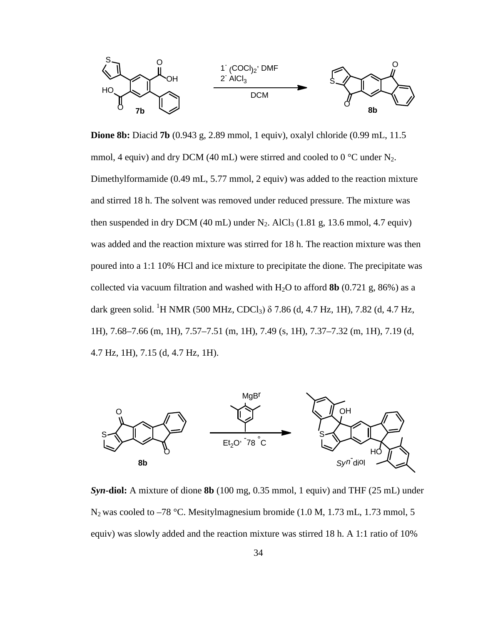

**Dione 8b:** Diacid **7b** (0.943 g, 2.89 mmol, 1 equiv), oxalyl chloride (0.99 mL, 11.5 mmol, 4 equiv) and dry DCM (40 mL) were stirred and cooled to 0  $^{\circ}$ C under N<sub>2</sub>. Dimethylformamide (0.49 mL, 5.77 mmol, 2 equiv) was added to the reaction mixture and stirred 18 h. The solvent was removed under reduced pressure. The mixture was then suspended in dry DCM (40 mL) under  $N_2$ . AlCl<sub>3</sub> (1.81 g, 13.6 mmol, 4.7 equiv) was added and the reaction mixture was stirred for 18 h. The reaction mixture was then poured into a 1:1 10% HCl and ice mixture to precipitate the dione. The precipitate was collected via vacuum filtration and washed with  $H_2O$  to afford **8b** (0.721 g, 86%) as a dark green solid. <sup>1</sup>H NMR (500 MHz, CDCl<sub>3</sub>) δ 7.86 (d, 4.7 Hz, 1H), 7.82 (d, 4.7 Hz, 1H), 7.68–7.66 (m, 1H), 7.57–7.51 (m, 1H), 7.49 (s, 1H), 7.37–7.32 (m, 1H), 7.19 (d, 4.7 Hz, 1H), 7.15 (d, 4.7 Hz, 1H).



*Syn***-diol:** A mixture of dione **8b** (100 mg, 0.35 mmol, 1 equiv) and THF (25 mL) under  $N_2$  was cooled to –78 °C. Mesitylmagnesium bromide (1.0 M, 1.73 mL, 1.73 mmol, 5 equiv) was slowly added and the reaction mixture was stirred 18 h. A 1:1 ratio of 10%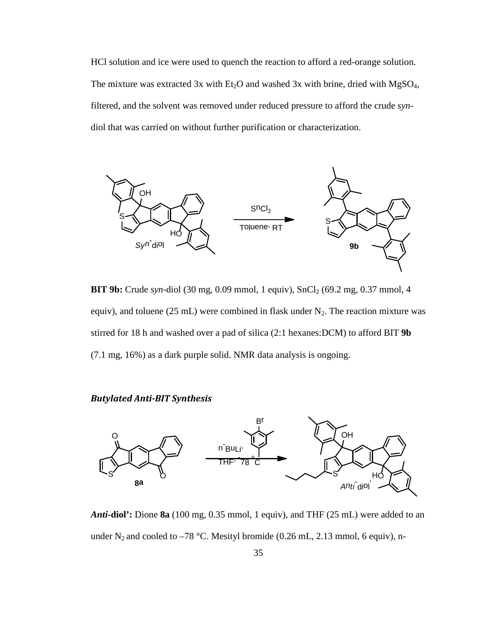HCl solution and ice were used to quench the reaction to afford a red-orange solution. The mixture was extracted 3x with  $Et_2O$  and washed 3x with brine, dried with  $MgSO_4$ , filtered, and the solvent was removed under reduced pressure to afford the crude *syn*diol that was carried on without further purification or characterization.



**BIT 9b:** Crude *syn-*diol (30 mg, 0.09 mmol, 1 equiv), SnCl<sub>2</sub> (69.2 mg, 0.37 mmol, 4 equiv), and toluene (25 mL) were combined in flask under  $N_2$ . The reaction mixture was stirred for 18 h and washed over a pad of silica (2:1 hexanes:DCM) to afford BIT **9b** (7.1 mg, 16%) as a dark purple solid. NMR data analysis is ongoing.

#### *Butylated Anti-BIT Synthesis*



*Anti-***diol':** Dione **8a** (100 mg, 0.35 mmol, 1 equiv), and THF (25 mL) were added to an under N<sub>2</sub> and cooled to –78 °C. Mesityl bromide (0.26 mL, 2.13 mmol, 6 equiv), n-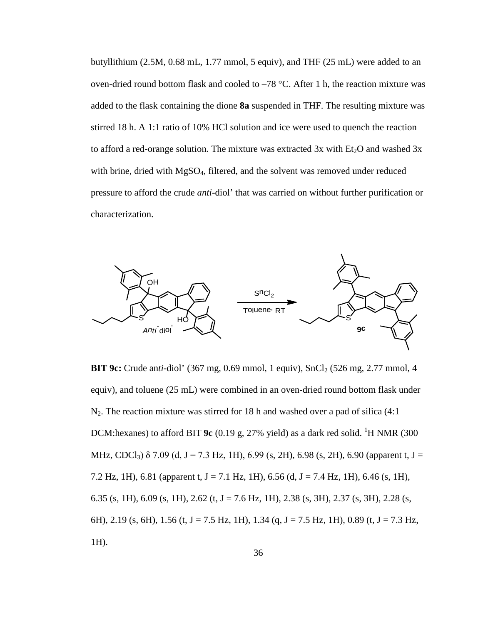butyllithium (2.5M, 0.68 mL, 1.77 mmol, 5 equiv), and THF (25 mL) were added to an oven-dried round bottom flask and cooled to –78 °C. After 1 h, the reaction mixture was added to the flask containing the dione **8a** suspended in THF. The resulting mixture was stirred 18 h. A 1:1 ratio of 10% HCl solution and ice were used to quench the reaction to afford a red-orange solution. The mixture was extracted  $3x$  with  $Et<sub>2</sub>O$  and washed  $3x$ with brine, dried with MgSO<sub>4</sub>, filtered, and the solvent was removed under reduced pressure to afford the crude *anti*-diol' that was carried on without further purification or characterization.



**BIT 9c:** Crude anti-diol' (367 mg, 0.69 mmol, 1 equiv), SnCl<sub>2</sub> (526 mg, 2.77 mmol, 4 equiv), and toluene (25 mL) were combined in an oven-dried round bottom flask under  $N_2$ . The reaction mixture was stirred for 18 h and washed over a pad of silica (4:1) DCM:hexanes) to afford BIT  $9c$  (0.19 g, 27% yield) as a dark red solid. <sup>1</sup>H NMR (300 MHz, CDCl<sub>3</sub>)  $\delta$  7.09 (d, J = 7.3 Hz, 1H), 6.99 (s, 2H), 6.98 (s, 2H), 6.90 (apparent t, J = 7.2 Hz, 1H), 6.81 (apparent t, J = 7.1 Hz, 1H), 6.56 (d, J = 7.4 Hz, 1H), 6.46 (s, 1H), 6.35 (s, 1H), 6.09 (s, 1H), 2.62 (t, J = 7.6 Hz, 1H), 2.38 (s, 3H), 2.37 (s, 3H), 2.28 (s, 6H), 2.19 (s, 6H), 1.56 (t, J = 7.5 Hz, 1H), 1.34 (q, J = 7.5 Hz, 1H), 0.89 (t, J = 7.3 Hz, 1H).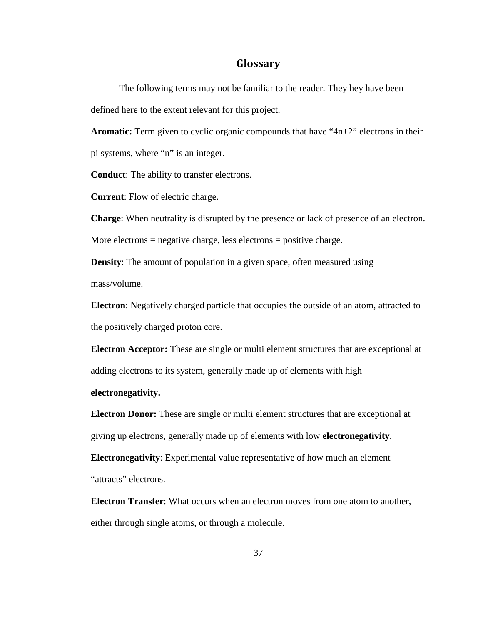#### **Glossary**

The following terms may not be familiar to the reader. They hey have been defined here to the extent relevant for this project.

**Aromatic:** Term given to cyclic organic compounds that have "4n+2" electrons in their pi systems, where "n" is an integer.

**Conduct**: The ability to transfer electrons.

**Current**: Flow of electric charge.

**Charge**: When neutrality is disrupted by the presence or lack of presence of an electron.

More electrons = negative charge, less electrons = positive charge.

**Density:** The amount of population in a given space, often measured using mass/volume.

**Electron**: Negatively charged particle that occupies the outside of an atom, attracted to the positively charged proton core.

**Electron Acceptor:** These are single or multi element structures that are exceptional at adding electrons to its system, generally made up of elements with high

#### **electronegativity.**

**Electron Donor:** These are single or multi element structures that are exceptional at giving up electrons, generally made up of elements with low **electronegativity**.

**Electronegativity**: Experimental value representative of how much an element "attracts" electrons.

**Electron Transfer**: What occurs when an electron moves from one atom to another, either through single atoms, or through a molecule.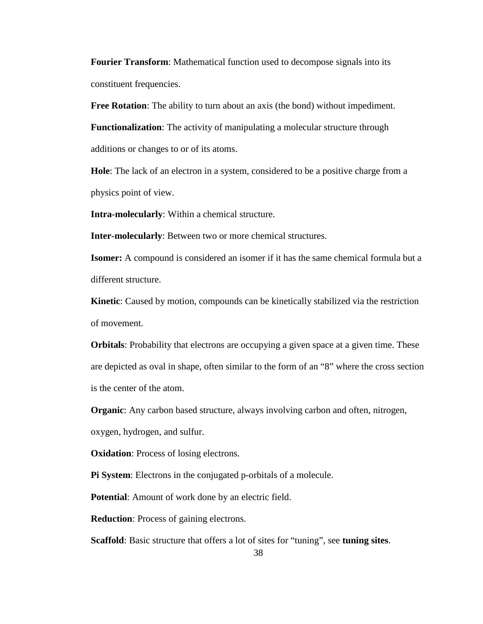**Fourier Transform**: Mathematical function used to decompose signals into its constituent frequencies.

**Free Rotation**: The ability to turn about an axis (the bond) without impediment.

**Functionalization**: The activity of manipulating a molecular structure through additions or changes to or of its atoms.

**Hole**: The lack of an electron in a system, considered to be a positive charge from a physics point of view.

**Intra-molecularly**: Within a chemical structure.

**Inter-molecularly**: Between two or more chemical structures.

**Isomer:** A compound is considered an isomer if it has the same chemical formula but a different structure.

**Kinetic**: Caused by motion, compounds can be kinetically stabilized via the restriction of movement.

**Orbitals**: Probability that electrons are occupying a given space at a given time. These are depicted as oval in shape, often similar to the form of an "8" where the cross section is the center of the atom.

**Organic**: Any carbon based structure, always involving carbon and often, nitrogen,

oxygen, hydrogen, and sulfur.

**Oxidation:** Process of losing electrons.

**Pi System**: Electrons in the conjugated p-orbitals of a molecule.

**Potential**: Amount of work done by an electric field.

**Reduction**: Process of gaining electrons.

**Scaffold**: Basic structure that offers a lot of sites for "tuning", see **tuning sites**.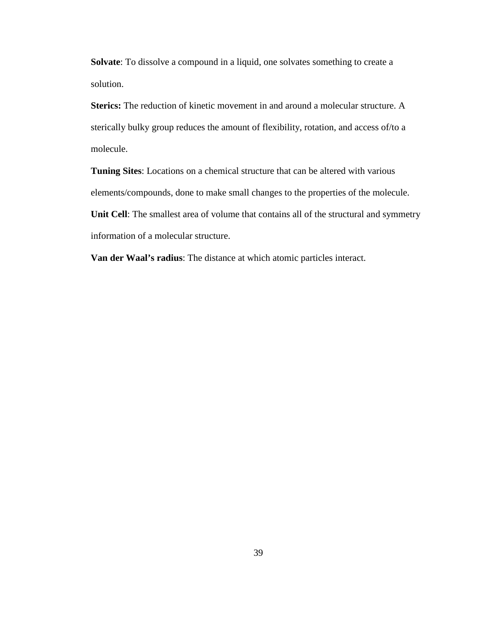**Solvate**: To dissolve a compound in a liquid, one solvates something to create a solution.

**Sterics:** The reduction of kinetic movement in and around a molecular structure. A sterically bulky group reduces the amount of flexibility, rotation, and access of/to a molecule.

**Tuning Sites**: Locations on a chemical structure that can be altered with various elements/compounds, done to make small changes to the properties of the molecule. **Unit Cell**: The smallest area of volume that contains all of the structural and symmetry information of a molecular structure.

**Van der Waal's radius**: The distance at which atomic particles interact.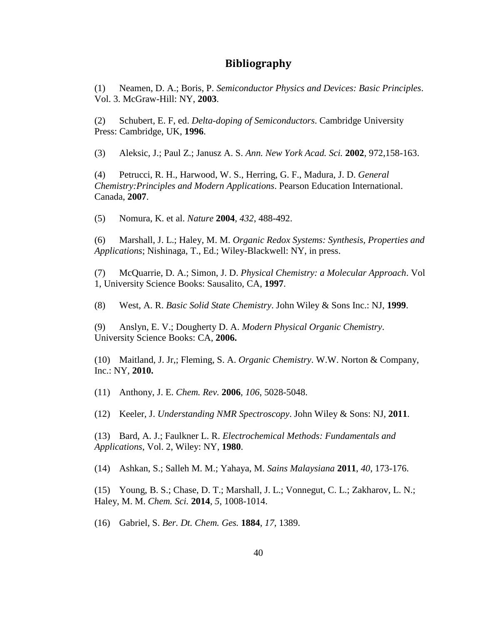#### **Bibliography**

(1) Neamen, D. A.; Boris, P. *Semiconductor Physics and Devices: Basic Principles*. Vol. 3. McGraw-Hill: NY, **2003**.

(2) Schubert, E. F, ed. *Delta-doping of Semiconductors*. Cambridge University Press: Cambridge, UK, **1996**.

(3) Aleksic, J.; Paul Z.; Janusz A. S. *Ann. New York Acad. Sci.* **2002**, 972,158-163.

(4) Petrucci, R. H., Harwood, W. S., Herring, G. F., Madura, J. D. *General Chemistry:Principles and Modern Applications*. Pearson Education International. Canada, **2007**.

(5) Nomura, K. et al. *Nature* **2004**, *432*, 488-492.

(6) Marshall, J. L.; Haley, M. M. *Organic Redox Systems: Synthesis, Properties and Applications*; Nishinaga, T., Ed.; Wiley-Blackwell: NY, in press.

(7) McQuarrie, D. A.; Simon, J. D. *Physical Chemistry: a Molecular Approach*. Vol 1, University Science Books: Sausalito, CA, **1997**.

(8) West, A. R. *Basic Solid State Chemistry*. John Wiley & Sons Inc.: NJ, **1999**.

(9) Anslyn, E. V.; Dougherty D. A. *Modern Physical Organic Chemistry*. University Science Books: CA, **2006.**

(10) Maitland, J. Jr,; Fleming, S. A. *Organic Chemistry*. W.W. Norton & Company, Inc.: NY, **2010.**

(11) Anthony, J. E. *Chem. Rev.* **2006**, *106*, 5028-5048.

(12) Keeler, J. *Understanding NMR Spectroscopy*. John Wiley & Sons: NJ, **2011**.

(13) Bard, A. J.; Faulkner L. R. *Electrochemical Methods: Fundamentals and Applications*, Vol. 2, Wiley: NY, **1980**.

(14) Ashkan, S.; Salleh M. M.; Yahaya, M. *Sains Malaysiana* **2011**, *40*, 173-176.

(15) Young, B. S.; Chase, D. T.; Marshall, J. L.; Vonnegut, C. L.; Zakharov, L. N.; Haley, M. M. *Chem. Sci.* **2014**, *5*, 1008-1014.

(16) Gabriel, S. *Ber. Dt. Chem. Ges.* **1884**, *17*, 1389.